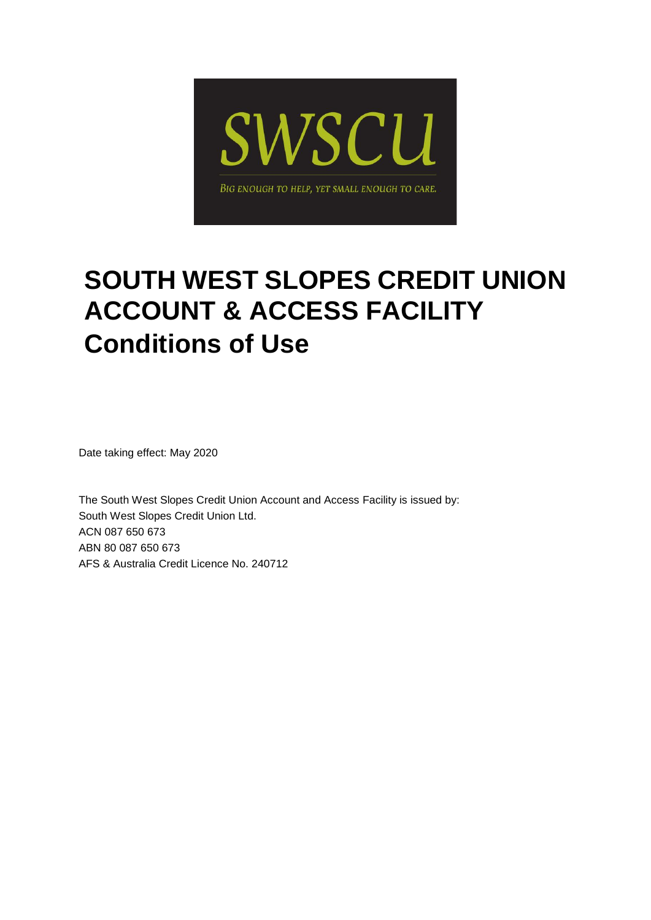

# **SOUTH WEST SLOPES CREDIT UNION ACCOUNT & ACCESS FACILITY Conditions of Use**

Date taking effect: May 2020

The South West Slopes Credit Union Account and Access Facility is issued by: South West Slopes Credit Union Ltd. ACN 087 650 673 ABN 80 087 650 673 AFS & Australia Credit Licence No. 240712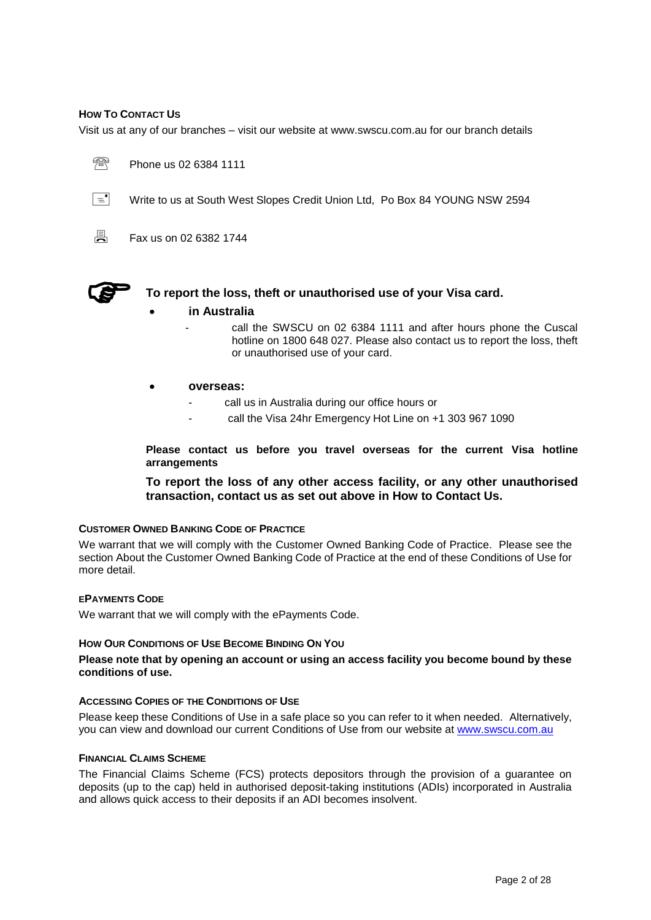## <span id="page-1-0"></span>**HOW TO CONTACT US**

Visit us at any of our branches – visit our website at www.swscu.com.au for our branch details





 $\boxed{\equiv}$  Write to us at South West Slopes Credit Union Ltd, Po Box 84 YOUNG NSW 2594



 $\Box$  Fax us on 02 6382 1744



**To report the loss, theft or unauthorised use of your Visa card.**

- **in Australia**
	- call the SWSCU on 02 6384 1111 and after hours phone the Cuscal hotline on 1800 648 027. Please also contact us to report the loss, theft or unauthorised use of your card.
- **overseas:**
	- call us in Australia during our office hours or
	- call the Visa 24hr Emergency Hot Line on +1 303 967 1090

**Please contact us before you travel overseas for the current Visa hotline arrangements**

**To report the loss of any other access facility, or any other unauthorised transaction, contact us as set out above in How to Contact Us.**

## **CUSTOMER OWNED BANKING CODE OF PRACTICE**

We warrant that we will comply with the Customer Owned Banking Code of Practice. Please see the section About the Customer Owned Banking Code of Practice at the end of these Conditions of Use for more detail.

## **EPAYMENTS CODE**

We warrant that we will comply with the ePayments Code.

## **HOW OUR CONDITIONS OF USE BECOME BINDING ON YOU**

**Please note that by opening an account or using an access facility you become bound by these conditions of use.**

## **ACCESSING COPIES OF THE CONDITIONS OF USE**

Please keep these Conditions of Use in a safe place so you can refer to it when needed. Alternatively, you can view and download our current Conditions of Use from our website at [www.swscu.com.au](http://www.swscu.com.au/)

## **FINANCIAL CLAIMS SCHEME**

The Financial Claims Scheme (FCS) protects depositors through the provision of a guarantee on deposits (up to the cap) held in authorised deposit-taking institutions (ADIs) incorporated in Australia and allows quick access to their deposits if an ADI becomes insolvent.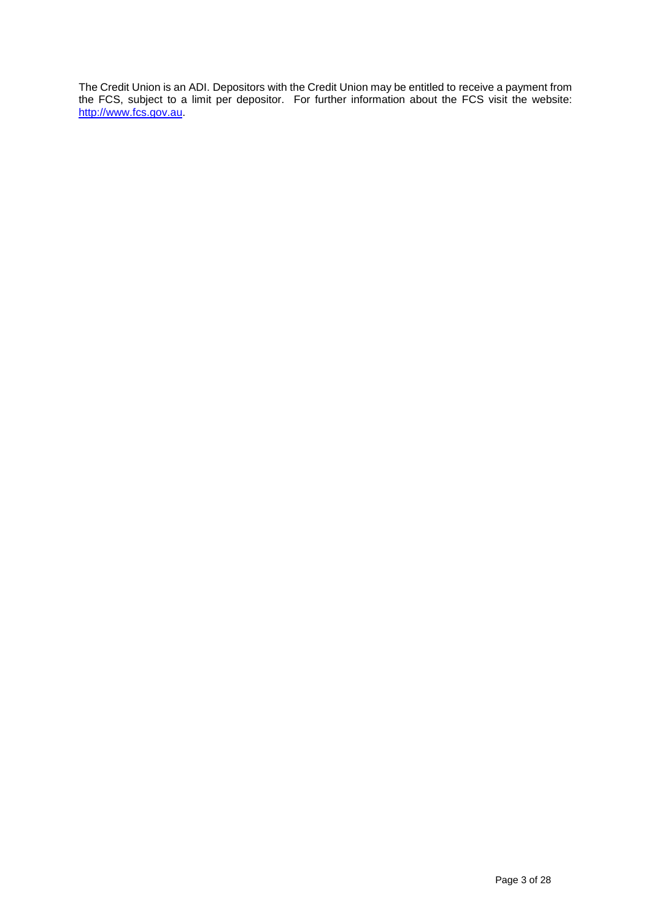The Credit Union is an ADI. Depositors with the Credit Union may be entitled to receive a payment from the FCS, subject to a limit per depositor. For further information about the FCS visit the website: [http://www.fcs.gov.au.](http://www.fcs.gov.au/)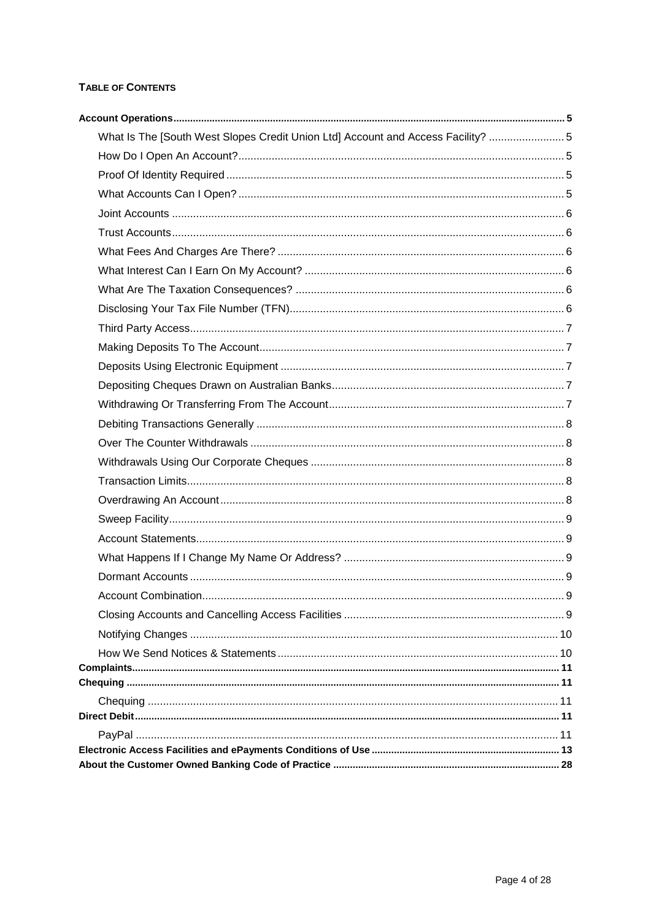# TABLE OF CONTENTS

| What Is The [South West Slopes Credit Union Ltd] Account and Access Facility?  5 |  |
|----------------------------------------------------------------------------------|--|
|                                                                                  |  |
|                                                                                  |  |
|                                                                                  |  |
|                                                                                  |  |
|                                                                                  |  |
|                                                                                  |  |
|                                                                                  |  |
|                                                                                  |  |
|                                                                                  |  |
|                                                                                  |  |
|                                                                                  |  |
|                                                                                  |  |
|                                                                                  |  |
|                                                                                  |  |
|                                                                                  |  |
|                                                                                  |  |
|                                                                                  |  |
|                                                                                  |  |
|                                                                                  |  |
|                                                                                  |  |
|                                                                                  |  |
|                                                                                  |  |
|                                                                                  |  |
|                                                                                  |  |
|                                                                                  |  |
|                                                                                  |  |
|                                                                                  |  |
|                                                                                  |  |
|                                                                                  |  |
|                                                                                  |  |
|                                                                                  |  |
|                                                                                  |  |
|                                                                                  |  |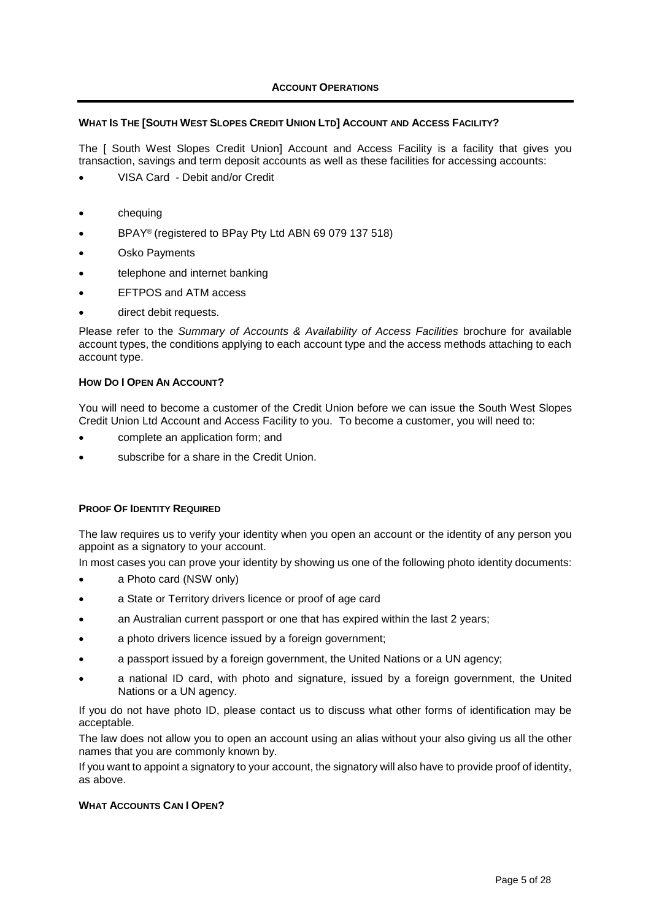## <span id="page-4-1"></span><span id="page-4-0"></span>WHAT IS THE [SOUTH WEST SLOPES CREDIT UNION LTD] ACCOUNT AND ACCESS FACILITY?

The [ South West Slopes Credit Union] Account and Access Facility is a facility that gives you transaction, savings and term deposit accounts as well as these facilities for accessing accounts:

- VISA Card Debit and/or Credit
- chequing
- BPAY® (registered to BPay Pty Ltd ABN 69 079 137 518)
- Osko Payments
- telephone and internet banking
- EFTPOS and ATM access
- direct debit requests.

Please refer to the *Summary of Accounts & Availability of Access Facilities* brochure for available account types, the conditions applying to each account type and the access methods attaching to each account type.

## <span id="page-4-2"></span>**HOW DO I OPEN AN ACCOUNT?**

You will need to become a customer of the Credit Union before we can issue the South West Slopes Credit Union Ltd Account and Access Facility to you. To become a customer, you will need to:

- complete an application form; and
- subscribe for a share in the Credit Union.

## <span id="page-4-3"></span>**PROOF OF IDENTITY REQUIRED**

The law requires us to verify your identity when you open an account or the identity of any person you appoint as a signatory to your account.

In most cases you can prove your identity by showing us one of the following photo identity documents:

- a Photo card (NSW only)
- a State or Territory drivers licence or proof of age card
- an Australian current passport or one that has expired within the last 2 years;
- a photo drivers licence issued by a foreign government;
- a passport issued by a foreign government, the United Nations or a UN agency;
- a national ID card, with photo and signature, issued by a foreign government, the United Nations or a UN agency.

If you do not have photo ID, please contact us to discuss what other forms of identification may be acceptable.

The law does not allow you to open an account using an alias without your also giving us all the other names that you are commonly known by.

If you want to appoint a signatory to your account, the signatory will also have to provide proof of identity, as above.

## <span id="page-4-4"></span>**WHAT ACCOUNTS CAN I OPEN?**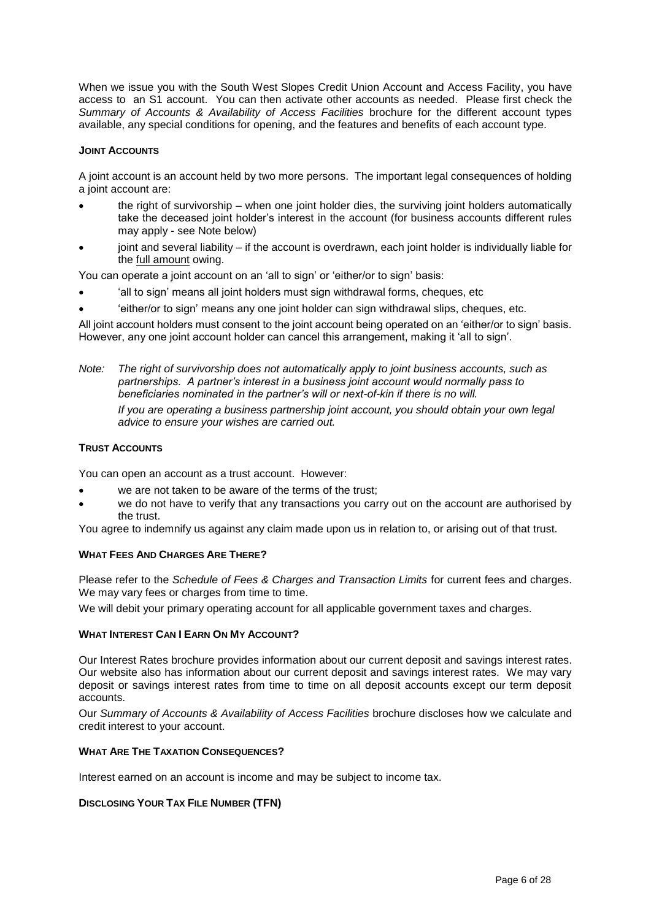When we issue you with the South West Slopes Credit Union Account and Access Facility, you have access to an S1 account. You can then activate other accounts as needed. Please first check the *Summary of Accounts & Availability of Access Facilities* brochure for the different account types available, any special conditions for opening, and the features and benefits of each account type.

## <span id="page-5-0"></span>**JOINT ACCOUNTS**

A joint account is an account held by two more persons. The important legal consequences of holding a joint account are:

- the right of survivorship when one joint holder dies, the surviving joint holders automatically take the deceased joint holder's interest in the account (for business accounts different rules may apply - see Note below)
- joint and several liability if the account is overdrawn, each joint holder is individually liable for the full amount owing.

You can operate a joint account on an 'all to sign' or 'either/or to sign' basis:

- 'all to sign' means all joint holders must sign withdrawal forms, cheques, etc
- 'either/or to sign' means any one joint holder can sign withdrawal slips, cheques, etc.

All joint account holders must consent to the joint account being operated on an 'either/or to sign' basis. However, any one joint account holder can cancel this arrangement, making it 'all to sign'.

*Note: The right of survivorship does not automatically apply to joint business accounts, such as partnerships. A partner's interest in a business joint account would normally pass to beneficiaries nominated in the partner's will or next-of-kin if there is no will. If you are operating a business partnership joint account, you should obtain your own legal advice to ensure your wishes are carried out.*

## <span id="page-5-1"></span>**TRUST ACCOUNTS**

You can open an account as a trust account. However:

- we are not taken to be aware of the terms of the trust;
- we do not have to verify that any transactions you carry out on the account are authorised by the trust.

You agree to indemnify us against any claim made upon us in relation to, or arising out of that trust.

## <span id="page-5-2"></span>**WHAT FEES AND CHARGES ARE THERE?**

Please refer to the *Schedule of Fees & Charges and Transaction Limits* for current fees and charges. We may vary fees or charges from time to time.

We will debit your primary operating account for all applicable government taxes and charges.

## <span id="page-5-3"></span>**WHAT INTEREST CAN I EARN ON MY ACCOUNT?**

Our Interest Rates brochure provides information about our current deposit and savings interest rates. Our website also has information about our current deposit and savings interest rates. We may vary deposit or savings interest rates from time to time on all deposit accounts except our term deposit accounts.

Our *Summary of Accounts & Availability of Access Facilities* brochure discloses how we calculate and credit interest to your account.

## <span id="page-5-4"></span>**WHAT ARE THE TAXATION CONSEQUENCES?**

Interest earned on an account is income and may be subject to income tax.

## <span id="page-5-5"></span>**DISCLOSING YOUR TAX FILE NUMBER (TFN)**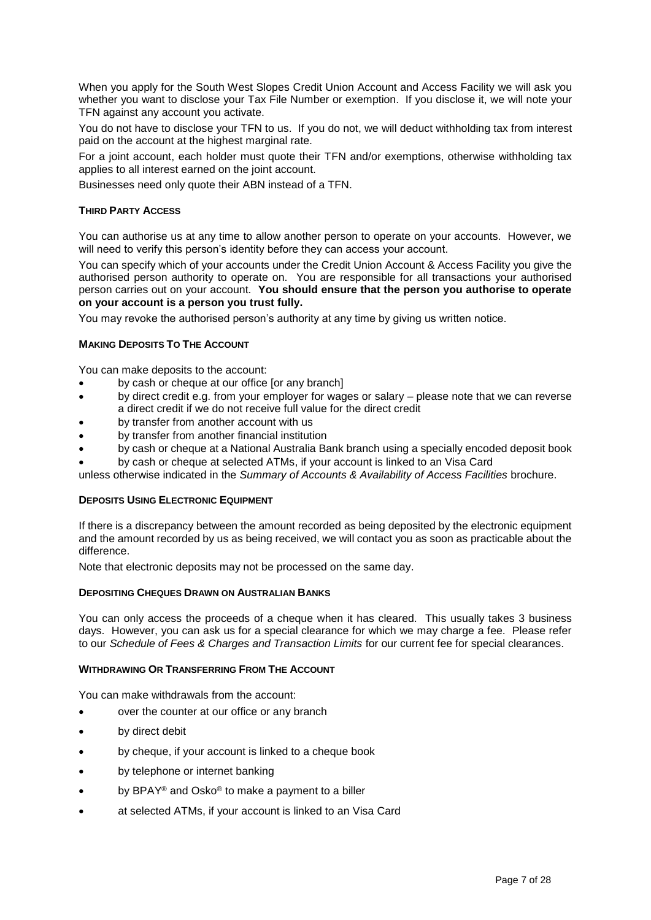When you apply for the South West Slopes Credit Union Account and Access Facility we will ask you whether you want to disclose your Tax File Number or exemption. If you disclose it, we will note your TFN against any account you activate.

You do not have to disclose your TFN to us. If you do not, we will deduct withholding tax from interest paid on the account at the highest marginal rate.

For a joint account, each holder must quote their TFN and/or exemptions, otherwise withholding tax applies to all interest earned on the joint account.

Businesses need only quote their ABN instead of a TFN.

## <span id="page-6-0"></span>**THIRD PARTY ACCESS**

You can authorise us at any time to allow another person to operate on your accounts. However, we will need to verify this person's identity before they can access your account.

You can specify which of your accounts under the Credit Union Account & Access Facility you give the authorised person authority to operate on. You are responsible for all transactions your authorised person carries out on your account. **You should ensure that the person you authorise to operate on your account is a person you trust fully.** 

You may revoke the authorised person's authority at any time by giving us written notice.

## <span id="page-6-1"></span>**MAKING DEPOSITS TO THE ACCOUNT**

You can make deposits to the account:

- by cash or cheque at our office [or any branch]
- by direct credit e.g. from your employer for wages or salary please note that we can reverse a direct credit if we do not receive full value for the direct credit
- by transfer from another account with us
- by transfer from another financial institution
- by cash or cheque at a National Australia Bank branch using a specially encoded deposit book
- by cash or cheque at selected ATMs, if your account is linked to an Visa Card

unless otherwise indicated in the *Summary of Accounts & Availability of Access Facilities* brochure.

## <span id="page-6-2"></span>**DEPOSITS USING ELECTRONIC EQUIPMENT**

If there is a discrepancy between the amount recorded as being deposited by the electronic equipment and the amount recorded by us as being received, we will contact you as soon as practicable about the difference.

Note that electronic deposits may not be processed on the same day.

## <span id="page-6-3"></span>**DEPOSITING CHEQUES DRAWN ON AUSTRALIAN BANKS**

You can only access the proceeds of a cheque when it has cleared. This usually takes 3 business days. However, you can ask us for a special clearance for which we may charge a fee. Please refer to our *Schedule of Fees & Charges and Transaction Limits* for our current fee for special clearances.

## <span id="page-6-4"></span>**WITHDRAWING OR TRANSFERRING FROM THE ACCOUNT**

You can make withdrawals from the account:

- over the counter at our office or any branch
- by direct debit
- by cheque, if your account is linked to a cheque book
- by telephone or internet banking
- by BPAY® and Osko® to make a payment to a biller
- at selected ATMs, if your account is linked to an Visa Card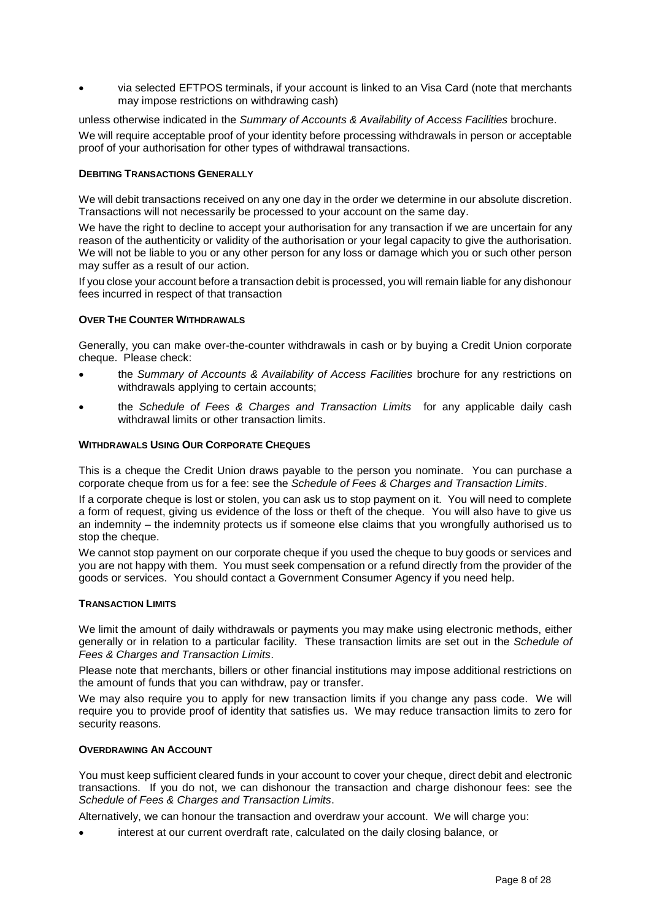via selected EFTPOS terminals, if your account is linked to an Visa Card (note that merchants may impose restrictions on withdrawing cash)

unless otherwise indicated in the *Summary of Accounts & Availability of Access Facilities* brochure. We will require acceptable proof of your identity before processing withdrawals in person or acceptable proof of your authorisation for other types of withdrawal transactions.

## <span id="page-7-0"></span>**DEBITING TRANSACTIONS GENERALLY**

We will debit transactions received on any one day in the order we determine in our absolute discretion. Transactions will not necessarily be processed to your account on the same day.

We have the right to decline to accept your authorisation for any transaction if we are uncertain for any reason of the authenticity or validity of the authorisation or your legal capacity to give the authorisation. We will not be liable to you or any other person for any loss or damage which you or such other person may suffer as a result of our action.

If you close your account before a transaction debit is processed, you will remain liable for any dishonour fees incurred in respect of that transaction

## <span id="page-7-1"></span>**OVER THE COUNTER WITHDRAWALS**

Generally, you can make over-the-counter withdrawals in cash or by buying a Credit Union corporate cheque. Please check:

- the *Summary of Accounts & Availability of Access Facilities* brochure for any restrictions on withdrawals applying to certain accounts;
- the *Schedule of Fees & Charges and Transaction Limits* for any applicable daily cash withdrawal limits or other transaction limits.

## <span id="page-7-2"></span>**WITHDRAWALS USING OUR CORPORATE CHEQUES**

This is a cheque the Credit Union draws payable to the person you nominate. You can purchase a corporate cheque from us for a fee: see the *Schedule of Fees & Charges and Transaction Limits*.

If a corporate cheque is lost or stolen, you can ask us to stop payment on it. You will need to complete a form of request, giving us evidence of the loss or theft of the cheque. You will also have to give us an indemnity – the indemnity protects us if someone else claims that you wrongfully authorised us to stop the cheque.

We cannot stop payment on our corporate cheque if you used the cheque to buy goods or services and you are not happy with them. You must seek compensation or a refund directly from the provider of the goods or services. You should contact a Government Consumer Agency if you need help.

## <span id="page-7-3"></span>**TRANSACTION LIMITS**

We limit the amount of daily withdrawals or payments you may make using electronic methods, either generally or in relation to a particular facility. These transaction limits are set out in the *Schedule of Fees & Charges and Transaction Limits*.

Please note that merchants, billers or other financial institutions may impose additional restrictions on the amount of funds that you can withdraw, pay or transfer.

We may also require you to apply for new transaction limits if you change any pass code. We will require you to provide proof of identity that satisfies us. We may reduce transaction limits to zero for security reasons.

## <span id="page-7-4"></span>**OVERDRAWING AN ACCOUNT**

You must keep sufficient cleared funds in your account to cover your cheque, direct debit and electronic transactions. If you do not, we can dishonour the transaction and charge dishonour fees: see the *Schedule of Fees & Charges and Transaction Limits*.

Alternatively, we can honour the transaction and overdraw your account. We will charge you:

interest at our current overdraft rate, calculated on the daily closing balance, or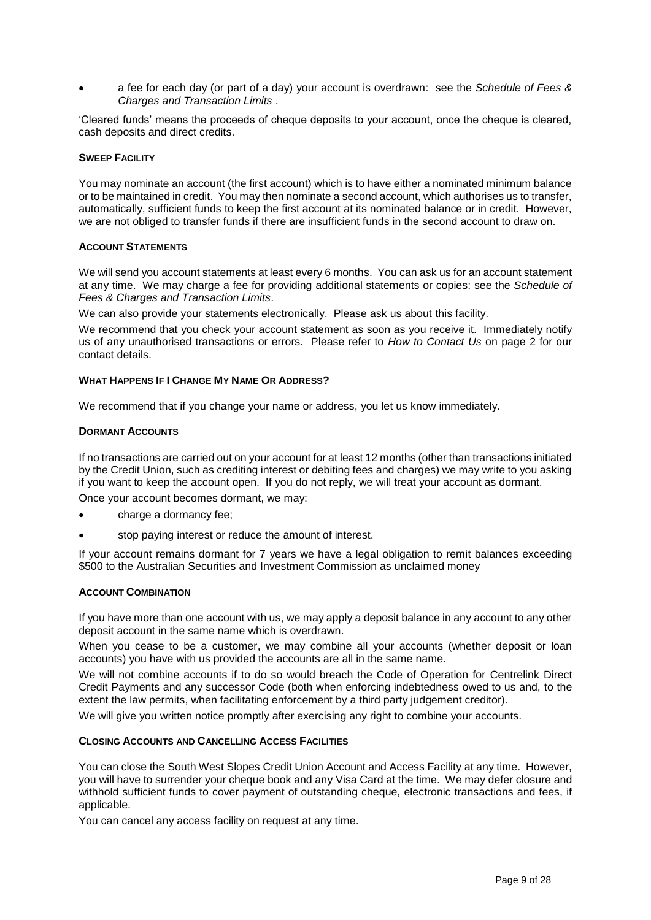a fee for each day (or part of a day) your account is overdrawn: see the *Schedule of Fees & Charges and Transaction Limits* .

'Cleared funds' means the proceeds of cheque deposits to your account, once the cheque is cleared, cash deposits and direct credits.

## <span id="page-8-0"></span>**SWEEP FACILITY**

You may nominate an account (the first account) which is to have either a nominated minimum balance or to be maintained in credit. You may then nominate a second account, which authorises us to transfer, automatically, sufficient funds to keep the first account at its nominated balance or in credit. However, we are not obliged to transfer funds if there are insufficient funds in the second account to draw on.

## <span id="page-8-1"></span>**ACCOUNT STATEMENTS**

We will send you account statements at least every 6 months. You can ask us for an account statement at any time. We may charge a fee for providing additional statements or copies: see the *Schedule of Fees & Charges and Transaction Limits*.

We can also provide your statements electronically. Please ask us about this facility.

We recommend that you check your account statement as soon as you receive it. Immediately notify us of any unauthorised transactions or errors. Please refer to *How to Contact Us* on page [2](#page-1-0) for our contact details.

#### <span id="page-8-2"></span>**WHAT HAPPENS IF I CHANGE MY NAME OR ADDRESS?**

We recommend that if you change your name or address, you let us know immediately.

#### <span id="page-8-3"></span>**DORMANT ACCOUNTS**

If no transactions are carried out on your account for at least 12 months (other than transactions initiated by the Credit Union, such as crediting interest or debiting fees and charges) we may write to you asking if you want to keep the account open. If you do not reply, we will treat your account as dormant.

Once your account becomes dormant, we may:

- charge a dormancy fee;
- stop paying interest or reduce the amount of interest.

If your account remains dormant for 7 years we have a legal obligation to remit balances exceeding \$500 to the Australian Securities and Investment Commission as unclaimed money

#### <span id="page-8-4"></span>**ACCOUNT COMBINATION**

If you have more than one account with us, we may apply a deposit balance in any account to any other deposit account in the same name which is overdrawn.

When you cease to be a customer, we may combine all your accounts (whether deposit or loan accounts) you have with us provided the accounts are all in the same name.

We will not combine accounts if to do so would breach the Code of Operation for Centrelink Direct Credit Payments and any successor Code (both when enforcing indebtedness owed to us and, to the extent the law permits, when facilitating enforcement by a third party judgement creditor).

We will give you written notice promptly after exercising any right to combine your accounts.

## <span id="page-8-5"></span>**CLOSING ACCOUNTS AND CANCELLING ACCESS FACILITIES**

You can close the South West Slopes Credit Union Account and Access Facility at any time. However, you will have to surrender your cheque book and any Visa Card at the time. We may defer closure and withhold sufficient funds to cover payment of outstanding cheque, electronic transactions and fees, if applicable.

You can cancel any access facility on request at any time.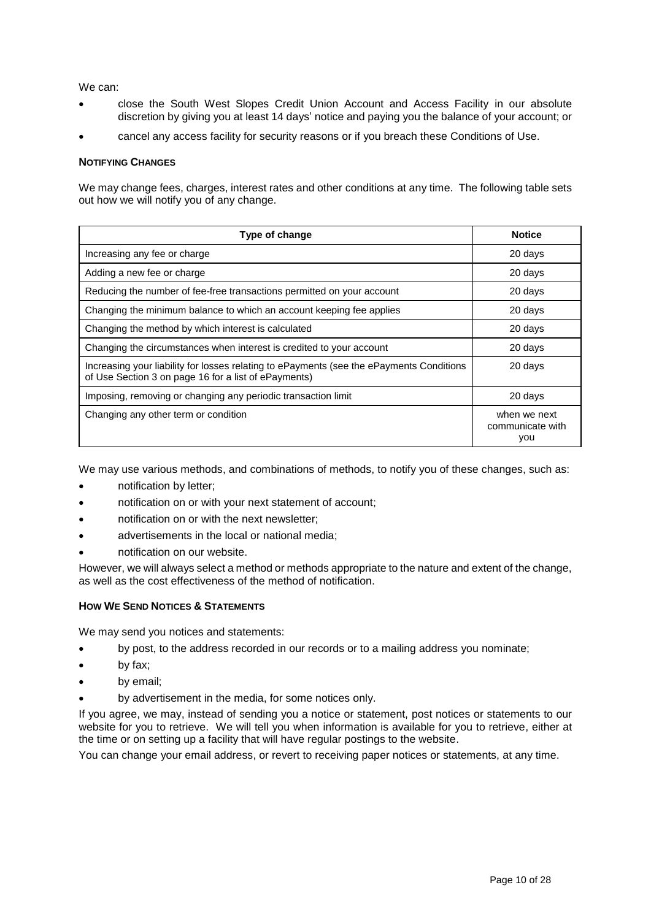We can:

- close the South West Slopes Credit Union Account and Access Facility in our absolute discretion by giving you at least 14 days' notice and paying you the balance of your account; or
- cancel any access facility for security reasons or if you breach these Conditions of Use.

## <span id="page-9-0"></span>**NOTIFYING CHANGES**

We may change fees, charges, interest rates and other conditions at any time. The following table sets out how we will notify you of any change.

| Type of change                                                                                                                                   | <b>Notice</b>                           |
|--------------------------------------------------------------------------------------------------------------------------------------------------|-----------------------------------------|
| Increasing any fee or charge                                                                                                                     | 20 days                                 |
| Adding a new fee or charge                                                                                                                       | 20 days                                 |
| Reducing the number of fee-free transactions permitted on your account                                                                           | 20 days                                 |
| Changing the minimum balance to which an account keeping fee applies                                                                             | 20 days                                 |
| Changing the method by which interest is calculated                                                                                              | 20 days                                 |
| Changing the circumstances when interest is credited to your account                                                                             | 20 days                                 |
| Increasing your liability for losses relating to ePayments (see the ePayments Conditions<br>of Use Section 3 on page 16 for a list of ePayments) | 20 days                                 |
| Imposing, removing or changing any periodic transaction limit                                                                                    | 20 days                                 |
| Changing any other term or condition                                                                                                             | when we next<br>communicate with<br>you |

We may use various methods, and combinations of methods, to notify you of these changes, such as:

- notification by letter;
- notification on or with your next statement of account;
- notification on or with the next newsletter;
- advertisements in the local or national media;
- notification on our website.

However, we will always select a method or methods appropriate to the nature and extent of the change, as well as the cost effectiveness of the method of notification.

## <span id="page-9-1"></span>**HOW WE SEND NOTICES & STATEMENTS**

We may send you notices and statements:

- by post, to the address recorded in our records or to a mailing address you nominate;
- by fax;
- by email;
- by advertisement in the media, for some notices only.

If you agree, we may, instead of sending you a notice or statement, post notices or statements to our website for you to retrieve. We will tell you when information is available for you to retrieve, either at the time or on setting up a facility that will have regular postings to the website.

You can change your email address, or revert to receiving paper notices or statements, at any time.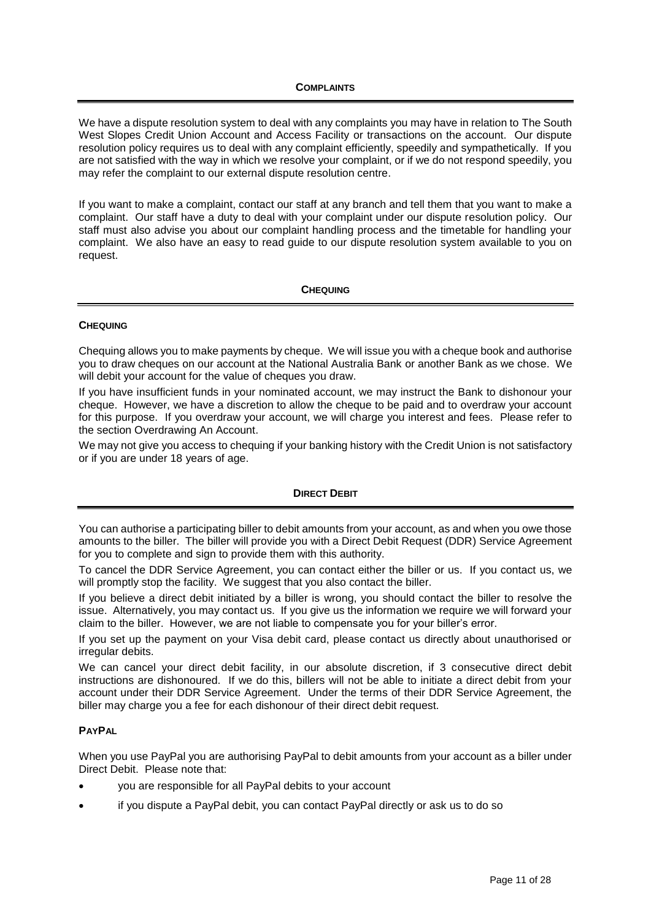<span id="page-10-0"></span>We have a dispute resolution system to deal with any complaints you may have in relation to The South West Slopes Credit Union Account and Access Facility or transactions on the account. Our dispute resolution policy requires us to deal with any complaint efficiently, speedily and sympathetically. If you are not satisfied with the way in which we resolve your complaint, or if we do not respond speedily, you may refer the complaint to our external dispute resolution centre.

If you want to make a complaint, contact our staff at any branch and tell them that you want to make a complaint. Our staff have a duty to deal with your complaint under our dispute resolution policy. Our staff must also advise you about our complaint handling process and the timetable for handling your complaint. We also have an easy to read guide to our dispute resolution system available to you on request.

## **CHEQUING**

## <span id="page-10-2"></span><span id="page-10-1"></span>**CHEQUING**

Chequing allows you to make payments by cheque. We will issue you with a cheque book and authorise you to draw cheques on our account at the National Australia Bank or another Bank as we chose. We will debit your account for the value of cheques you draw.

If you have insufficient funds in your nominated account, we may instruct the Bank to dishonour your cheque. However, we have a discretion to allow the cheque to be paid and to overdraw your account for this purpose. If you overdraw your account, we will charge you interest and fees. Please refer to the section [Overdrawing An Account.](#page-7-4)

We may not give you access to chequing if your banking history with the Credit Union is not satisfactory or if you are under 18 years of age.

## **DIRECT DEBIT**

<span id="page-10-3"></span>You can authorise a participating biller to debit amounts from your account, as and when you owe those amounts to the biller. The biller will provide you with a Direct Debit Request (DDR) Service Agreement for you to complete and sign to provide them with this authority.

To cancel the DDR Service Agreement, you can contact either the biller or us. If you contact us, we will promptly stop the facility. We suggest that you also contact the biller.

If you believe a direct debit initiated by a biller is wrong, you should contact the biller to resolve the issue. Alternatively, you may contact us. If you give us the information we require we will forward your claim to the biller. However, we are not liable to compensate you for your biller's error.

If you set up the payment on your Visa debit card, please contact us directly about unauthorised or irregular debits.

We can cancel your direct debit facility, in our absolute discretion, if 3 consecutive direct debit instructions are dishonoured. If we do this, billers will not be able to initiate a direct debit from your account under their DDR Service Agreement. Under the terms of their DDR Service Agreement, the biller may charge you a fee for each dishonour of their direct debit request.

## <span id="page-10-4"></span>**PAYPAL**

When you use PayPal you are authorising PayPal to debit amounts from your account as a biller under Direct Debit. Please note that:

- you are responsible for all PayPal debits to your account
- if you dispute a PayPal debit, you can contact PayPal directly or ask us to do so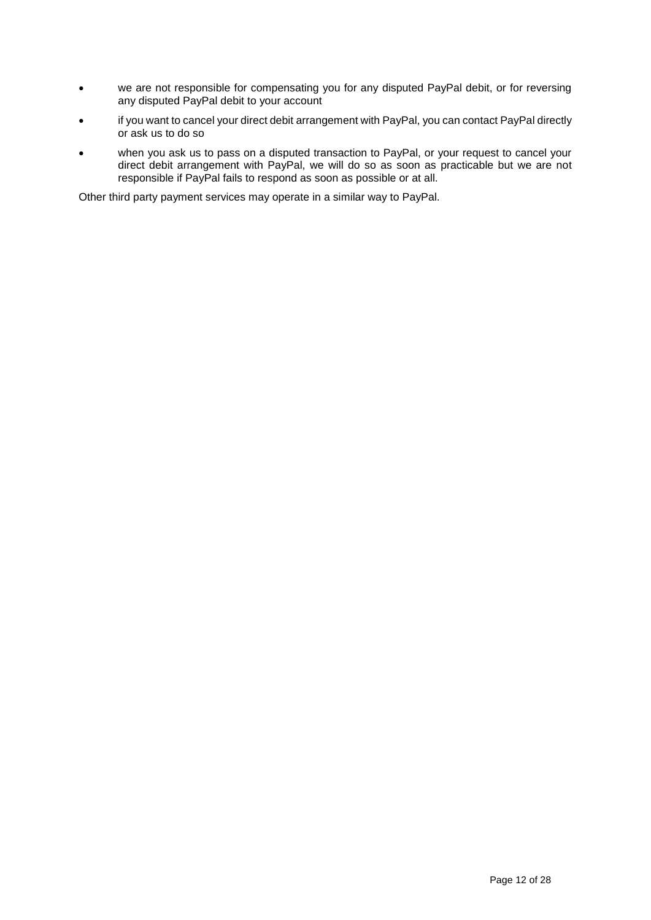- we are not responsible for compensating you for any disputed PayPal debit, or for reversing any disputed PayPal debit to your account
- if you want to cancel your direct debit arrangement with PayPal, you can contact PayPal directly or ask us to do so
- when you ask us to pass on a disputed transaction to PayPal, or your request to cancel your direct debit arrangement with PayPal, we will do so as soon as practicable but we are not responsible if PayPal fails to respond as soon as possible or at all.

Other third party payment services may operate in a similar way to PayPal.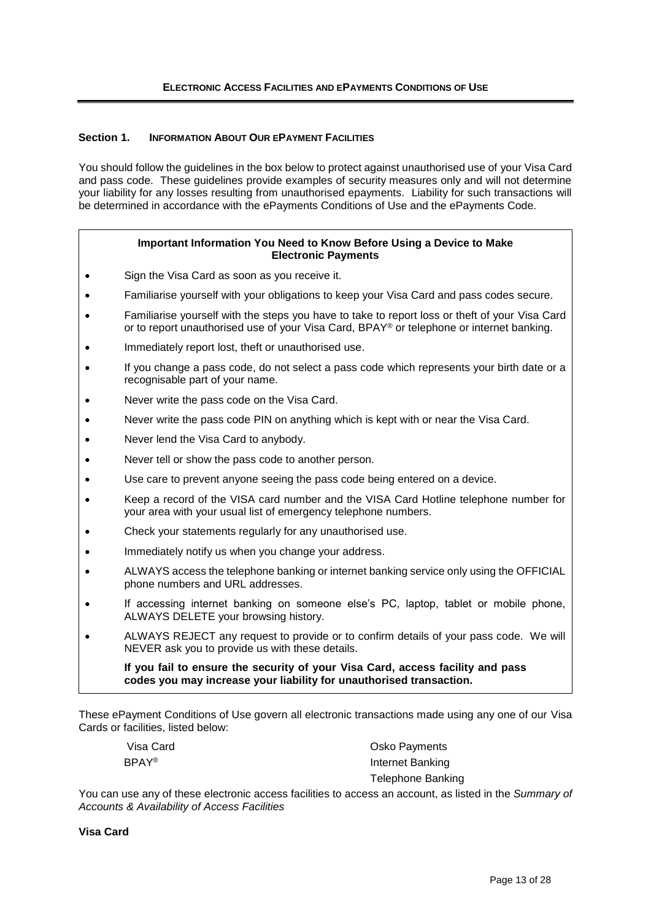## <span id="page-12-0"></span>**Section 1. INFORMATION ABOUT OUR EPAYMENT FACILITIES**

You should follow the guidelines in the box below to protect against unauthorised use of your Visa Card and pass code. These guidelines provide examples of security measures only and will not determine your liability for any losses resulting from unauthorised epayments. Liability for such transactions will be determined in accordance with the ePayments Conditions of Use and the ePayments Code.

## **Important Information You Need to Know Before Using a Device to Make Electronic Payments**

- Sign the Visa Card as soon as you receive it.
- Familiarise yourself with your obligations to keep your Visa Card and pass codes secure.
- Familiarise yourself with the steps you have to take to report loss or theft of your Visa Card or to report unauthorised use of your Visa Card, BPAY® or telephone or internet banking.
- Immediately report lost, theft or unauthorised use.
- If you change a pass code, do not select a pass code which represents your birth date or a recognisable part of your name.
- Never write the pass code on the Visa Card.
- Never write the pass code PIN on anything which is kept with or near the Visa Card.
- Never lend the Visa Card to anybody.
- Never tell or show the pass code to another person.
- Use care to prevent anyone seeing the pass code being entered on a device.
- Keep a record of the VISA card number and the VISA Card Hotline telephone number for your area with your usual list of emergency telephone numbers.
- Check your statements regularly for any unauthorised use.
- Immediately notify us when you change your address.
- ALWAYS access the telephone banking or internet banking service only using the OFFICIAL phone numbers and URL addresses.
- If accessing internet banking on someone else's PC, laptop, tablet or mobile phone, ALWAYS DELETE your browsing history.
- ALWAYS REJECT any request to provide or to confirm details of your pass code. We will NEVER ask you to provide us with these details.

**If you fail to ensure the security of your Visa Card, access facility and pass codes you may increase your liability for unauthorised transaction.**

These ePayment Conditions of Use govern all electronic transactions made using any one of our Visa Cards or facilities, listed below:

|              | Visa Card |
|--------------|-----------|
| <b>BPAY®</b> |           |

Osko Payments Internet Banking Telephone Banking

You can use any of these electronic access facilities to access an account, as listed in the *Summary of Accounts & Availability of Access Facilities*

**Visa Card**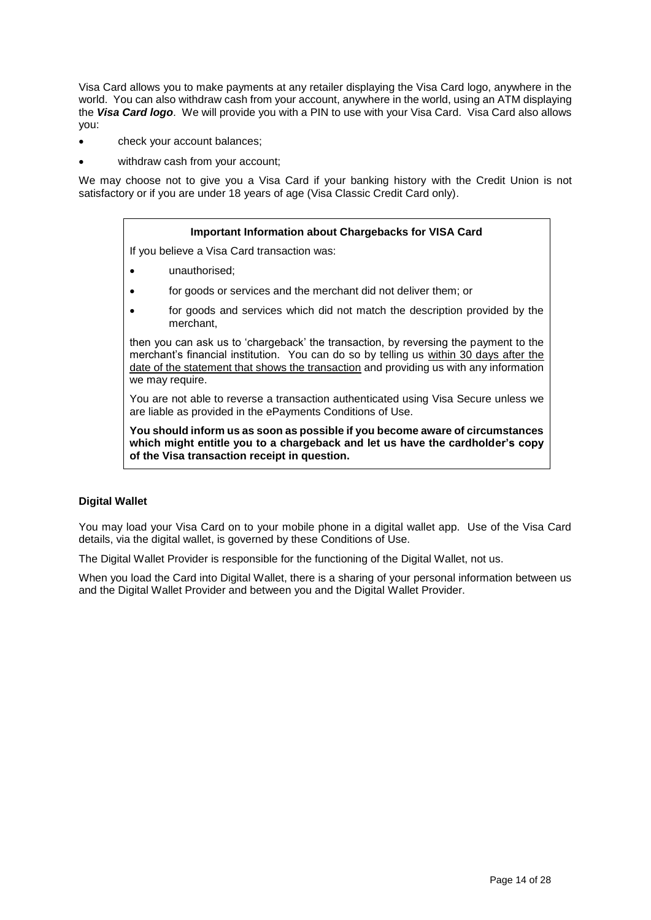Visa Card allows you to make payments at any retailer displaying the Visa Card logo, anywhere in the world. You can also withdraw cash from your account, anywhere in the world, using an ATM displaying the *Visa Card logo*. We will provide you with a PIN to use with your Visa Card. Visa Card also allows you:

- check your account balances;
- withdraw cash from your account;

We may choose not to give you a Visa Card if your banking history with the Credit Union is not satisfactory or if you are under 18 years of age (Visa Classic Credit Card only).

## **Important Information about Chargebacks for VISA Card**

If you believe a Visa Card transaction was:

- unauthorised;
- for goods or services and the merchant did not deliver them; or
- for goods and services which did not match the description provided by the merchant,

then you can ask us to 'chargeback' the transaction, by reversing the payment to the merchant's financial institution. You can do so by telling us within 30 days after the date of the statement that shows the transaction and providing us with any information we may require.

You are not able to reverse a transaction authenticated using Visa Secure unless we are liable as provided in the ePayments Conditions of Use.

**You should inform us as soon as possible if you become aware of circumstances which might entitle you to a chargeback and let us have the cardholder's copy of the Visa transaction receipt in question.** 

## **Digital Wallet**

You may load your Visa Card on to your mobile phone in a digital wallet app. Use of the Visa Card details, via the digital wallet, is governed by these Conditions of Use.

The Digital Wallet Provider is responsible for the functioning of the Digital Wallet, not us.

When you load the Card into Digital Wallet, there is a sharing of your personal information between us and the Digital Wallet Provider and between you and the Digital Wallet Provider.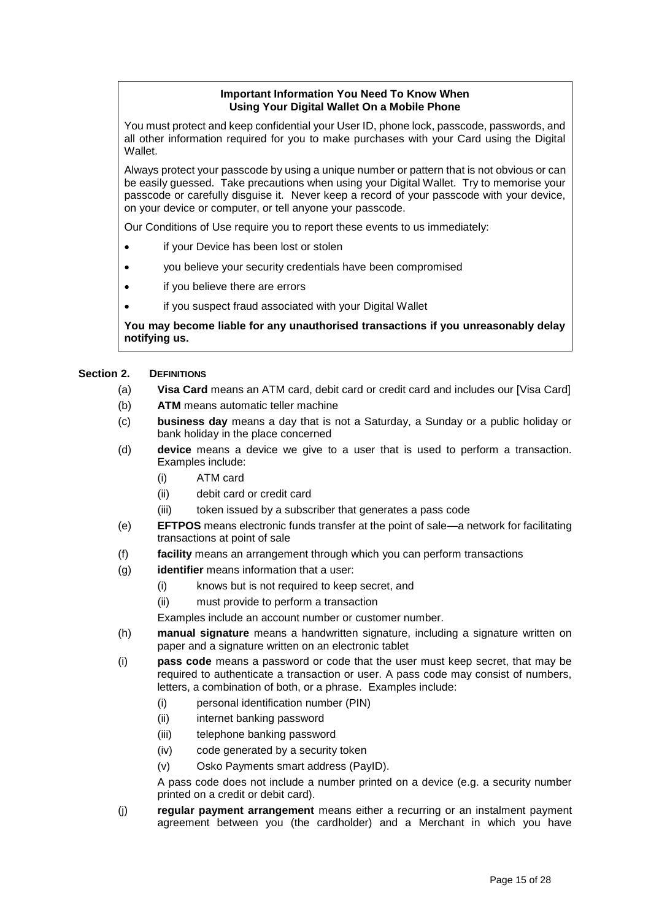## **Important Information You Need To Know When Using Your Digital Wallet On a Mobile Phone**

You must protect and keep confidential your User ID, phone lock, passcode, passwords, and all other information required for you to make purchases with your Card using the Digital Wallet.

Always protect your passcode by using a unique number or pattern that is not obvious or can be easily guessed. Take precautions when using your Digital Wallet. Try to memorise your passcode or carefully disguise it. Never keep a record of your passcode with your device, on your device or computer, or tell anyone your passcode.

Our Conditions of Use require you to report these events to us immediately:

- if your Device has been lost or stolen
- you believe your security credentials have been compromised
- if you believe there are errors
- if you suspect fraud associated with your Digital Wallet

**You may become liable for any unauthorised transactions if you unreasonably delay notifying us.**

## Section 2. **DEFINITIONS**

- (a) **Visa Card** means an ATM card, debit card or credit card and includes our [Visa Card]
- (b) **ATM** means automatic teller machine
- (c) **business day** means a day that is not a Saturday, a Sunday or a public holiday or bank holiday in the place concerned
- (d) **device** means a device we give to a user that is used to perform a transaction. Examples include:
	- (i) ATM card
	- (ii) debit card or credit card
	- (iii) token issued by a subscriber that generates a pass code
- (e) **EFTPOS** means electronic funds transfer at the point of sale—a network for facilitating transactions at point of sale
- (f) **facility** means an arrangement through which you can perform transactions
- (g) **identifier** means information that a user:
	- (i) knows but is not required to keep secret, and
	- (ii) must provide to perform a transaction

Examples include an account number or customer number.

- (h) **manual signature** means a handwritten signature, including a signature written on paper and a signature written on an electronic tablet
- (i) **pass code** means a password or code that the user must keep secret, that may be required to authenticate a transaction or user. A pass code may consist of numbers, letters, a combination of both, or a phrase. Examples include:
	- (i) personal identification number (PIN)
	- (ii) internet banking password
	- (iii) telephone banking password
	- (iv) code generated by a security token
	- (v) Osko Payments smart address (PayID).

A pass code does not include a number printed on a device (e.g. a security number printed on a credit or debit card).

(j) **regular payment arrangement** means either a recurring or an instalment payment agreement between you (the cardholder) and a Merchant in which you have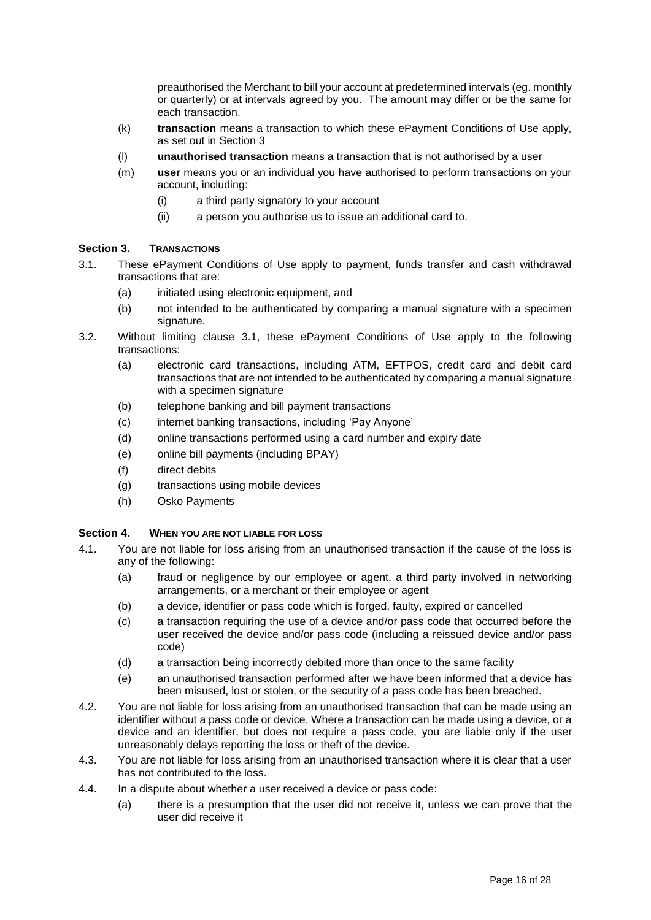preauthorised the Merchant to bill your account at predetermined intervals (eg. monthly or quarterly) or at intervals agreed by you. The amount may differ or be the same for each transaction.

- (k) **transaction** means a transaction to which these ePayment Conditions of Use apply, as set out in [Section 3](#page-15-0)
- (l) **unauthorised transaction** means a transaction that is not authorised by a user
- (m) **user** means you or an individual you have authorised to perform transactions on your account, including:
	- (i) a third party signatory to your account
	- (ii) a person you authorise us to issue an additional card to.

## <span id="page-15-0"></span>**Section 3. TRANSACTIONS**

- <span id="page-15-1"></span>3.1. These ePayment Conditions of Use apply to payment, funds transfer and cash withdrawal transactions that are:
	- (a) initiated using electronic equipment, and
	- (b) not intended to be authenticated by comparing a manual signature with a specimen signature.
- 3.2. Without limiting clause [3.1,](#page-15-1) these ePayment Conditions of Use apply to the following transactions:
	- (a) electronic card transactions, including ATM, EFTPOS, credit card and debit card transactions that are not intended to be authenticated by comparing a manual signature with a specimen signature
	- (b) telephone banking and bill payment transactions
	- (c) internet banking transactions, including 'Pay Anyone'
	- (d) online transactions performed using a card number and expiry date
	- (e) online bill payments (including BPAY)
	- (f) direct debits
	- (g) transactions using mobile devices
	- (h) Osko Payments

## <span id="page-15-2"></span>**Section 4. WHEN YOU ARE NOT LIABLE FOR LOSS**

- 4.1. You are not liable for loss arising from an unauthorised transaction if the cause of the loss is any of the following:
	- (a) fraud or negligence by our employee or agent, a third party involved in networking arrangements, or a merchant or their employee or agent
	- (b) a device, identifier or pass code which is forged, faulty, expired or cancelled
	- (c) a transaction requiring the use of a device and/or pass code that occurred before the user received the device and/or pass code (including a reissued device and/or pass code)
	- (d) a transaction being incorrectly debited more than once to the same facility
	- (e) an unauthorised transaction performed after we have been informed that a device has been misused, lost or stolen, or the security of a pass code has been breached.
- 4.2. You are not liable for loss arising from an unauthorised transaction that can be made using an identifier without a pass code or device. Where a transaction can be made using a device, or a device and an identifier, but does not require a pass code, you are liable only if the user unreasonably delays reporting the loss or theft of the device.
- 4.3. You are not liable for loss arising from an unauthorised transaction where it is clear that a user has not contributed to the loss.
- 4.4. In a dispute about whether a user received a device or pass code:
	- (a) there is a presumption that the user did not receive it, unless we can prove that the user did receive it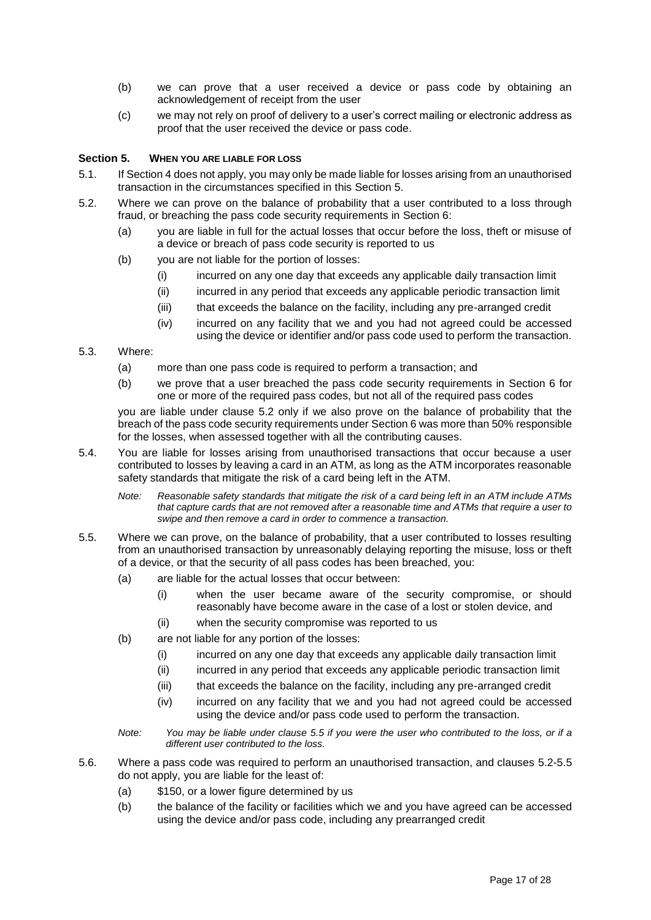- (b) we can prove that a user received a device or pass code by obtaining an acknowledgement of receipt from the user
- (c) we may not rely on proof of delivery to a user's correct mailing or electronic address as proof that the user received the device or pass code.

## <span id="page-16-0"></span>**Section 5. WHEN YOU ARE LIABLE FOR LOSS**

- 5.1. If [Section 4](#page-15-2) does not apply, you may only be made liable for losses arising from an unauthorised transaction in the circumstances specified in this [Section 5.](#page-16-0)
- <span id="page-16-1"></span>5.2. Where we can prove on the balance of probability that a user contributed to a loss through fraud, or breaching the pass code security requirements in [Section 6:](#page-17-0)
	- (a) you are liable in full for the actual losses that occur before the loss, theft or misuse of a device or breach of pass code security is reported to us
	- (b) you are not liable for the portion of losses:
		- (i) incurred on any one day that exceeds any applicable daily transaction limit
		- (ii) incurred in any period that exceeds any applicable periodic transaction limit
		- (iii) that exceeds the balance on the facility, including any pre-arranged credit
		- (iv) incurred on any facility that we and you had not agreed could be accessed using the device or identifier and/or pass code used to perform the transaction.

## 5.3. Where:

- (a) more than one pass code is required to perform a transaction; and
- (b) we prove that a user breached the pass code security requirements in [Section 6](#page-17-0) for one or more of the required pass codes, but not all of the required pass codes

you are liable under clause [5.2](#page-16-1) only if we also prove on the balance of probability that the breach of the pass code security requirements under [Section 6](#page-17-0) was more than 50% responsible for the losses, when assessed together with all the contributing causes.

- 5.4. You are liable for losses arising from unauthorised transactions that occur because a user contributed to losses by leaving a card in an ATM, as long as the ATM incorporates reasonable safety standards that mitigate the risk of a card being left in the ATM.
	- *Note: Reasonable safety standards that mitigate the risk of a card being left in an ATM include ATMs that capture cards that are not removed after a reasonable time and ATMs that require a user to swipe and then remove a card in order to commence a transaction.*
- <span id="page-16-2"></span>5.5. Where we can prove, on the balance of probability, that a user contributed to losses resulting from an unauthorised transaction by unreasonably delaying reporting the misuse, loss or theft of a device, or that the security of all pass codes has been breached, you:
	- (a) are liable for the actual losses that occur between:
		- (i) when the user became aware of the security compromise, or should reasonably have become aware in the case of a lost or stolen device, and
		- (ii) when the security compromise was reported to us
	- (b) are not liable for any portion of the losses:
		- (i) incurred on any one day that exceeds any applicable daily transaction limit
		- (ii) incurred in any period that exceeds any applicable periodic transaction limit
		- (iii) that exceeds the balance on the facility, including any pre-arranged credit
		- (iv) incurred on any facility that we and you had not agreed could be accessed using the device and/or pass code used to perform the transaction.

*Note: You may be liable under clause [5.5](#page-16-2) if you were the user who contributed to the loss, or if a different user contributed to the loss.* 

- 5.6. Where a pass code was required to perform an unauthorised transaction, and clauses [5.2](#page-16-1)[-5.5](#page-16-2) do not apply, you are liable for the least of:
	- (a) \$150, or a lower figure determined by us
	- (b) the balance of the facility or facilities which we and you have agreed can be accessed using the device and/or pass code, including any prearranged credit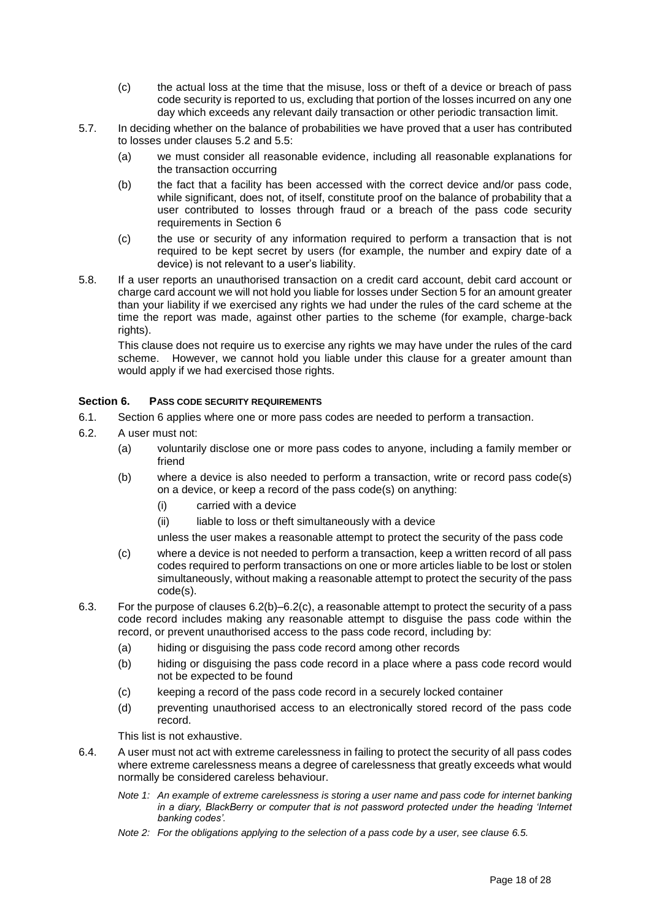- (c) the actual loss at the time that the misuse, loss or theft of a device or breach of pass code security is reported to us, excluding that portion of the losses incurred on any one day which exceeds any relevant daily transaction or other periodic transaction limit.
- 5.7. In deciding whether on the balance of probabilities we have proved that a user has contributed to losses under clauses [5.2](#page-16-1) and [5.5:](#page-16-2)
	- (a) we must consider all reasonable evidence, including all reasonable explanations for the transaction occurring
	- (b) the fact that a facility has been accessed with the correct device and/or pass code, while significant, does not, of itself, constitute proof on the balance of probability that a user contributed to losses through fraud or a breach of the pass code security requirements in [Section 6](#page-17-0)
	- (c) the use or security of any information required to perform a transaction that is not required to be kept secret by users (for example, the number and expiry date of a device) is not relevant to a user's liability.
- 5.8. If a user reports an unauthorised transaction on a credit card account, debit card account or charge card account we will not hold you liable for losses under [Section 5](#page-16-0) for an amount greater than your liability if we exercised any rights we had under the rules of the card scheme at the time the report was made, against other parties to the scheme (for example, charge-back rights).

This clause does not require us to exercise any rights we may have under the rules of the card scheme. However, we cannot hold you liable under this clause for a greater amount than would apply if we had exercised those rights.

## <span id="page-17-0"></span>**Section 6. PASS CODE SECURITY REQUIREMENTS**

- 6.1. [Section 6](#page-17-0) applies where one or more pass codes are needed to perform a transaction.
- <span id="page-17-1"></span>6.2. A user must not:
	- (a) voluntarily disclose one or more pass codes to anyone, including a family member or friend
	- (b) where a device is also needed to perform a transaction, write or record pass code(s) on a device, or keep a record of the pass code(s) on anything:
		- (i) carried with a device
		- (ii) liable to loss or theft simultaneously with a device

unless the user makes a reasonable attempt to protect the security of the pass code

- <span id="page-17-2"></span>(c) where a device is not needed to perform a transaction, keep a written record of all pass codes required to perform transactions on one or more articles liable to be lost or stolen simultaneously, without making a reasonable attempt to protect the security of the pass code(s).
- 6.3. For the purpose of clause[s 6.2\(b\)](#page-17-1)[–6.2\(c\),](#page-17-2) a reasonable attempt to protect the security of a pass code record includes making any reasonable attempt to disguise the pass code within the record, or prevent unauthorised access to the pass code record, including by:
	- (a) hiding or disguising the pass code record among other records
	- (b) hiding or disguising the pass code record in a place where a pass code record would not be expected to be found
	- (c) keeping a record of the pass code record in a securely locked container
	- (d) preventing unauthorised access to an electronically stored record of the pass code record.

This list is not exhaustive.

- 6.4. A user must not act with extreme carelessness in failing to protect the security of all pass codes where extreme carelessness means a degree of carelessness that greatly exceeds what would normally be considered careless behaviour.
	- *Note 1: An example of extreme carelessness is storing a user name and pass code for internet banking in a diary, BlackBerry or computer that is not password protected under the heading 'Internet banking codes'.*
	- *Note 2: For the obligations applying to the selection of a pass code by a user, see clause [6.5.](#page-18-0)*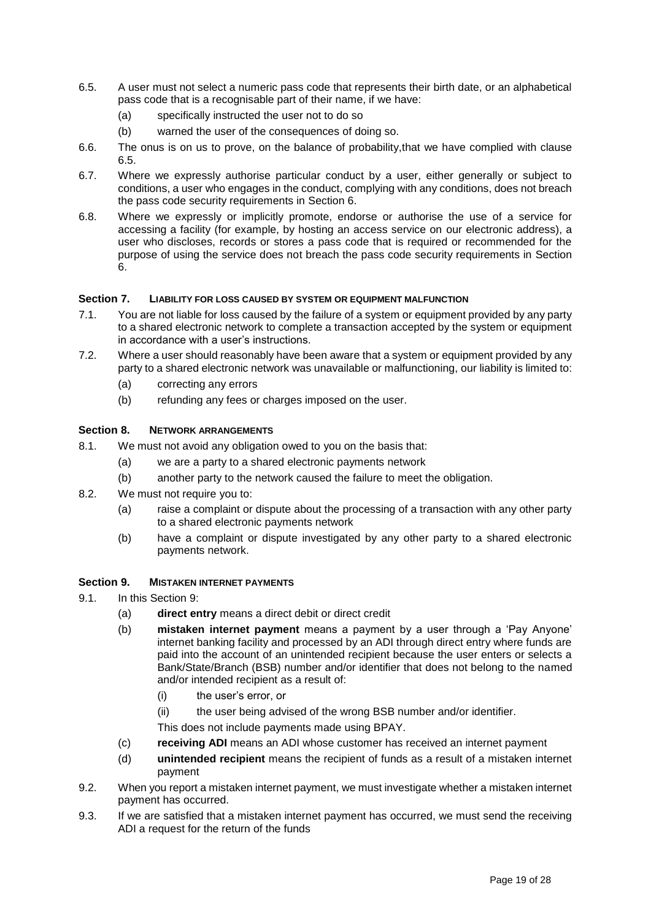- <span id="page-18-0"></span>6.5. A user must not select a numeric pass code that represents their birth date, or an alphabetical pass code that is a recognisable part of their name, if we have:
	- (a) specifically instructed the user not to do so
	- (b) warned the user of the consequences of doing so.
- 6.6. The onus is on us to prove, on the balance of probability,that we have complied with clause [6.5.](#page-18-0)
- 6.7. Where we expressly authorise particular conduct by a user, either generally or subject to conditions, a user who engages in the conduct, complying with any conditions, does not breach the pass code security requirements in [Section 6.](#page-17-0)
- 6.8. Where we expressly or implicitly promote, endorse or authorise the use of a service for accessing a facility (for example, by hosting an access service on our electronic address), a user who discloses, records or stores a pass code that is required or recommended for the purpose of using the service does not breach the pass code security requirements in [Section](#page-17-0)  [6.](#page-17-0)

## **Section 7. LIABILITY FOR LOSS CAUSED BY SYSTEM OR EQUIPMENT MALFUNCTION**

- 7.1. You are not liable for loss caused by the failure of a system or equipment provided by any party to a shared electronic network to complete a transaction accepted by the system or equipment in accordance with a user's instructions.
- 7.2. Where a user should reasonably have been aware that a system or equipment provided by any party to a shared electronic network was unavailable or malfunctioning, our liability is limited to:
	- (a) correcting any errors
	- (b) refunding any fees or charges imposed on the user.

## **Section 8. NETWORK ARRANGEMENTS**

- 8.1. We must not avoid any obligation owed to you on the basis that:
	- (a) we are a party to a shared electronic payments network
	- (b) another party to the network caused the failure to meet the obligation.
- 8.2. We must not require you to:
	- (a) raise a complaint or dispute about the processing of a transaction with any other party to a shared electronic payments network
	- (b) have a complaint or dispute investigated by any other party to a shared electronic payments network.

## <span id="page-18-1"></span>**Section 9. MISTAKEN INTERNET PAYMENTS**

- 9.1. In this [Section 9:](#page-18-1)
	- (a) **direct entry** means a direct debit or direct credit
	- (b) **mistaken internet payment** means a payment by a user through a 'Pay Anyone' internet banking facility and processed by an ADI through direct entry where funds are paid into the account of an unintended recipient because the user enters or selects a Bank/State/Branch (BSB) number and/or identifier that does not belong to the named and/or intended recipient as a result of:
		- (i) the user's error, or
		- (ii) the user being advised of the wrong BSB number and/or identifier.
		- This does not include payments made using BPAY.
	- (c) **receiving ADI** means an ADI whose customer has received an internet payment
	- (d) **unintended recipient** means the recipient of funds as a result of a mistaken internet payment
- <span id="page-18-2"></span>9.2. When you report a mistaken internet payment, we must investigate whether a mistaken internet payment has occurred.
- 9.3. If we are satisfied that a mistaken internet payment has occurred, we must send the receiving ADI a request for the return of the funds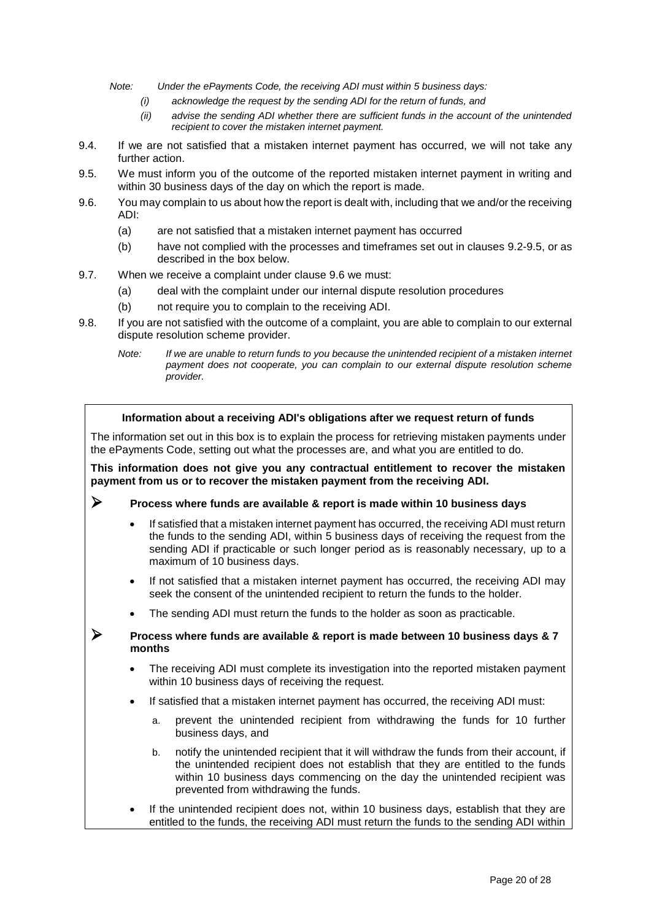*Note: Under the ePayments Code, the receiving ADI must within 5 business days:* 

- *(i) acknowledge the request by the sending ADI for the return of funds, and*
- *(ii) advise the sending ADI whether there are sufficient funds in the account of the unintended recipient to cover the mistaken internet payment.*
- 9.4. If we are not satisfied that a mistaken internet payment has occurred, we will not take any further action.
- <span id="page-19-0"></span>9.5. We must inform you of the outcome of the reported mistaken internet payment in writing and within 30 business days of the day on which the report is made.
- <span id="page-19-1"></span>9.6. You may complain to us about how the report is dealt with, including that we and/or the receiving ADI:
	- (a) are not satisfied that a mistaken internet payment has occurred
	- (b) have not complied with the processes and timeframes set out in clauses [9.2](#page-18-2)[-9.5,](#page-19-0) or as described in the box below.
- 9.7. When we receive a complaint under clause [9.6](#page-19-1) we must:
	- (a) deal with the complaint under our internal dispute resolution procedures
	- (b) not require you to complain to the receiving ADI.
- 9.8. If you are not satisfied with the outcome of a complaint, you are able to complain to our external dispute resolution scheme provider.
	- *Note: If we are unable to return funds to you because the unintended recipient of a mistaken internet payment does not cooperate, you can complain to our external dispute resolution scheme provider.*

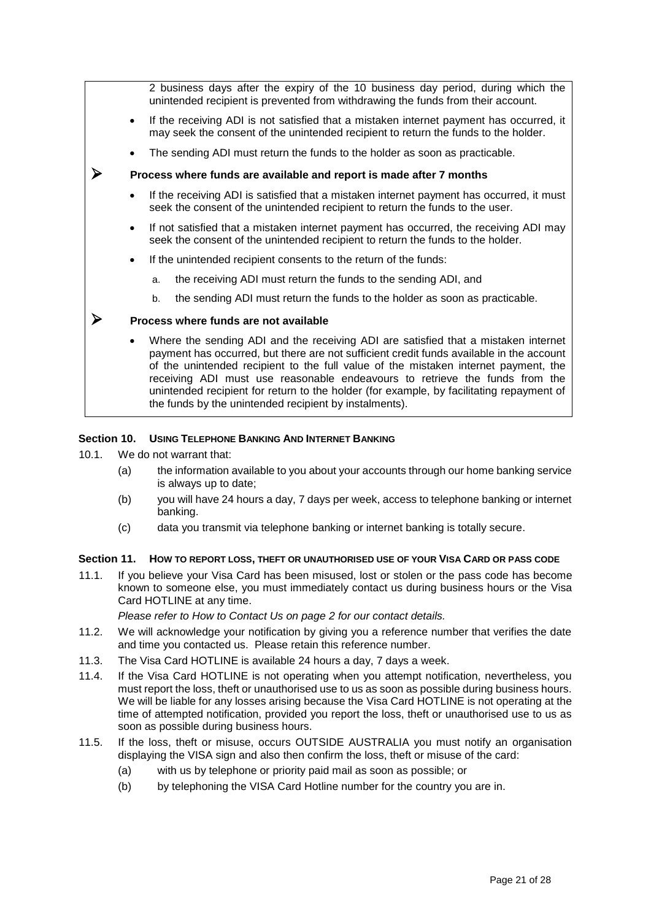|           | 2 business days after the expiry of the 10 business day period, during which the<br>unintended recipient is prevented from withdrawing the funds from their account.                                                                                                                                                                                                                                                                                                                                       |
|-----------|------------------------------------------------------------------------------------------------------------------------------------------------------------------------------------------------------------------------------------------------------------------------------------------------------------------------------------------------------------------------------------------------------------------------------------------------------------------------------------------------------------|
| $\bullet$ | If the receiving ADI is not satisfied that a mistaken internet payment has occurred, it<br>may seek the consent of the unintended recipient to return the funds to the holder.                                                                                                                                                                                                                                                                                                                             |
|           | The sending ADI must return the funds to the holder as soon as practicable.                                                                                                                                                                                                                                                                                                                                                                                                                                |
|           | Process where funds are available and report is made after 7 months                                                                                                                                                                                                                                                                                                                                                                                                                                        |
| $\bullet$ | If the receiving ADI is satisfied that a mistaken internet payment has occurred, it must<br>seek the consent of the unintended recipient to return the funds to the user.                                                                                                                                                                                                                                                                                                                                  |
| $\bullet$ | If not satisfied that a mistaken internet payment has occurred, the receiving ADI may<br>seek the consent of the unintended recipient to return the funds to the holder.                                                                                                                                                                                                                                                                                                                                   |
| $\bullet$ | If the unintended recipient consents to the return of the funds:                                                                                                                                                                                                                                                                                                                                                                                                                                           |
|           | the receiving ADI must return the funds to the sending ADI, and<br>a.                                                                                                                                                                                                                                                                                                                                                                                                                                      |
|           | the sending ADI must return the funds to the holder as soon as practicable.<br>b.                                                                                                                                                                                                                                                                                                                                                                                                                          |
|           | Process where funds are not available                                                                                                                                                                                                                                                                                                                                                                                                                                                                      |
|           | Where the sending ADI and the receiving ADI are satisfied that a mistaken internet<br>payment has occurred, but there are not sufficient credit funds available in the account<br>of the unintended recipient to the full value of the mistaken internet payment, the<br>receiving ADI must use reasonable endeavours to retrieve the funds from the<br>unintended recipient for return to the holder (for example, by facilitating repayment of<br>the funds by the unintended recipient by instalments). |

## **Section 10. USING TELEPHONE BANKING AND INTERNET BANKING**

- 10.1. We do not warrant that:
	- (a) the information available to you about your accounts through our home banking service is always up to date;
	- (b) you will have 24 hours a day, 7 days per week, access to telephone banking or internet banking.
	- (c) data you transmit via telephone banking or internet banking is totally secure.

## **Section 11. HOW TO REPORT LOSS, THEFT OR UNAUTHORISED USE OF YOUR VISA CARD OR PASS CODE**

11.1. If you believe your Visa Card has been misused, lost or stolen or the pass code has become known to someone else, you must immediately contact us during business hours or the Visa Card HOTLINE at any time.

*Please refer to How to Contact Us on page [2](#page-1-0) for our contact details.* 

- 11.2. We will acknowledge your notification by giving you a reference number that verifies the date and time you contacted us. Please retain this reference number.
- 11.3. The Visa Card HOTLINE is available 24 hours a day, 7 days a week.
- 11.4. If the Visa Card HOTLINE is not operating when you attempt notification, nevertheless, you must report the loss, theft or unauthorised use to us as soon as possible during business hours. We will be liable for any losses arising because the Visa Card HOTLINE is not operating at the time of attempted notification, provided you report the loss, theft or unauthorised use to us as soon as possible during business hours.
- 11.5. If the loss, theft or misuse, occurs OUTSIDE AUSTRALIA you must notify an organisation displaying the VISA sign and also then confirm the loss, theft or misuse of the card:
	- (a) with us by telephone or priority paid mail as soon as possible; or
	- (b) by telephoning the VISA Card Hotline number for the country you are in.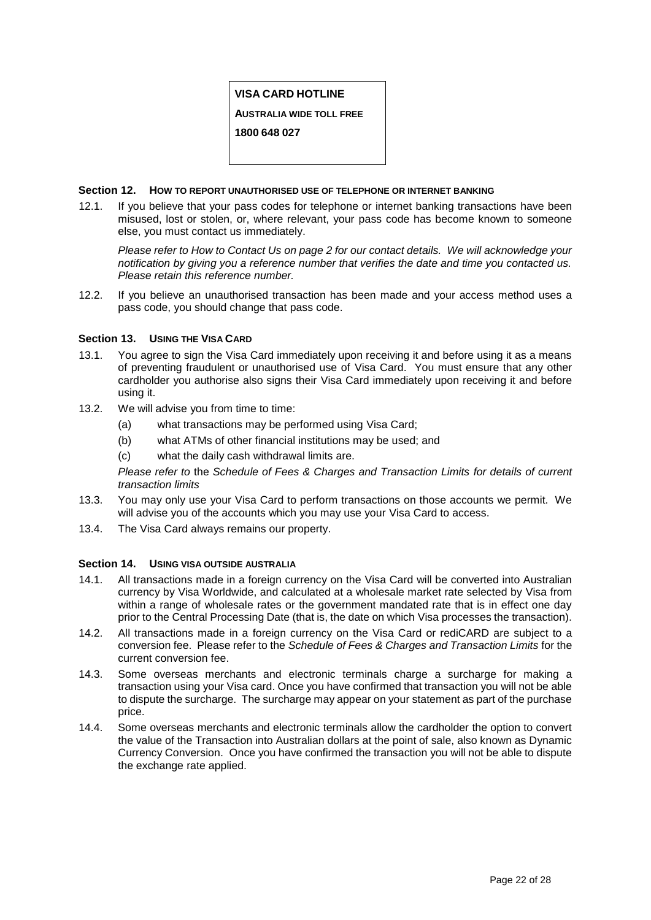# **VISA CARD HOTLINE**

**AUSTRALIA WIDE TOLL FREE**

**1800 648 027**

## **Section 12. HOW TO REPORT UNAUTHORISED USE OF TELEPHONE OR INTERNET BANKING**

12.1. If you believe that your pass codes for telephone or internet banking transactions have been misused, lost or stolen, or, where relevant, your pass code has become known to someone else, you must contact us immediately.

*Please refer to How to Contact Us on page [2](#page-1-0) for our contact details. We will acknowledge your notification by giving you a reference number that verifies the date and time you contacted us. Please retain this reference number.*

12.2. If you believe an unauthorised transaction has been made and your access method uses a pass code, you should change that pass code.

## **Section 13. USING THE VISA CARD**

- 13.1. You agree to sign the Visa Card immediately upon receiving it and before using it as a means of preventing fraudulent or unauthorised use of Visa Card. You must ensure that any other cardholder you authorise also signs their Visa Card immediately upon receiving it and before using it.
- 13.2. We will advise you from time to time:
	- (a) what transactions may be performed using Visa Card;
	- (b) what ATMs of other financial institutions may be used; and
	- (c) what the daily cash withdrawal limits are.

*Please refer to* the *Schedule of Fees & Charges and Transaction Limits for details of current transaction limits* 

- 13.3. You may only use your Visa Card to perform transactions on those accounts we permit. We will advise you of the accounts which you may use your Visa Card to access.
- 13.4. The Visa Card always remains our property.

## **Section 14. USING VISA OUTSIDE AUSTRALIA**

- 14.1. All transactions made in a foreign currency on the Visa Card will be converted into Australian currency by Visa Worldwide, and calculated at a wholesale market rate selected by Visa from within a range of wholesale rates or the government mandated rate that is in effect one day prior to the Central Processing Date (that is, the date on which Visa processes the transaction).
- 14.2. All transactions made in a foreign currency on the Visa Card or rediCARD are subject to a conversion fee. Please refer to the *Schedule of Fees & Charges and Transaction Limits* for the current conversion fee.
- 14.3. Some overseas merchants and electronic terminals charge a surcharge for making a transaction using your Visa card. Once you have confirmed that transaction you will not be able to dispute the surcharge. The surcharge may appear on your statement as part of the purchase price.
- 14.4. Some overseas merchants and electronic terminals allow the cardholder the option to convert the value of the Transaction into Australian dollars at the point of sale, also known as Dynamic Currency Conversion. Once you have confirmed the transaction you will not be able to dispute the exchange rate applied.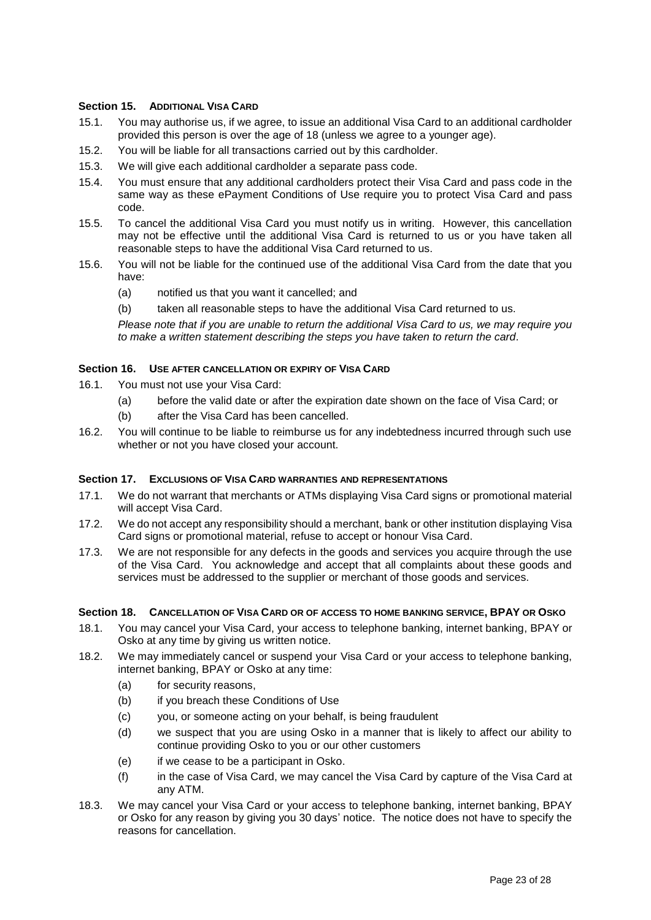# **Section 15. ADDITIONAL VISA CARD**

- 15.1. You may authorise us, if we agree, to issue an additional Visa Card to an additional cardholder provided this person is over the age of 18 (unless we agree to a younger age).
- 15.2. You will be liable for all transactions carried out by this cardholder.
- 15.3. We will give each additional cardholder a separate pass code.
- 15.4. You must ensure that any additional cardholders protect their Visa Card and pass code in the same way as these ePayment Conditions of Use require you to protect Visa Card and pass code.
- 15.5. To cancel the additional Visa Card you must notify us in writing. However, this cancellation may not be effective until the additional Visa Card is returned to us or you have taken all reasonable steps to have the additional Visa Card returned to us.
- 15.6. You will not be liable for the continued use of the additional Visa Card from the date that you have:
	- (a) notified us that you want it cancelled; and
	- (b) taken all reasonable steps to have the additional Visa Card returned to us.

*Please note that if you are unable to return the additional Visa Card to us, we may require you to make a written statement describing the steps you have taken to return the card.*

## **Section 16. USE AFTER CANCELLATION OR EXPIRY OF VISA CARD**

- 16.1. You must not use your Visa Card:
	- (a) before the valid date or after the expiration date shown on the face of Visa Card; or
	- (b) after the Visa Card has been cancelled.
- 16.2. You will continue to be liable to reimburse us for any indebtedness incurred through such use whether or not you have closed your account.

## **Section 17. EXCLUSIONS OF VISA CARD WARRANTIES AND REPRESENTATIONS**

- 17.1. We do not warrant that merchants or ATMs displaying Visa Card signs or promotional material will accept Visa Card.
- 17.2. We do not accept any responsibility should a merchant, bank or other institution displaying Visa Card signs or promotional material, refuse to accept or honour Visa Card.
- 17.3. We are not responsible for any defects in the goods and services you acquire through the use of the Visa Card. You acknowledge and accept that all complaints about these goods and services must be addressed to the supplier or merchant of those goods and services.

## **Section 18. CANCELLATION OF VISA CARD OR OF ACCESS TO HOME BANKING SERVICE, BPAY OR OSKO**

- 18.1. You may cancel your Visa Card, your access to telephone banking, internet banking, BPAY or Osko at any time by giving us written notice.
- 18.2. We may immediately cancel or suspend your Visa Card or your access to telephone banking, internet banking, BPAY or Osko at any time:
	- (a) for security reasons,
	- (b) if you breach these Conditions of Use
	- (c) you, or someone acting on your behalf, is being fraudulent
	- (d) we suspect that you are using Osko in a manner that is likely to affect our ability to continue providing Osko to you or our other customers
	- (e) if we cease to be a participant in Osko.
	- (f) in the case of Visa Card, we may cancel the Visa Card by capture of the Visa Card at any ATM.
- 18.3. We may cancel your Visa Card or your access to telephone banking, internet banking, BPAY or Osko for any reason by giving you 30 days' notice. The notice does not have to specify the reasons for cancellation.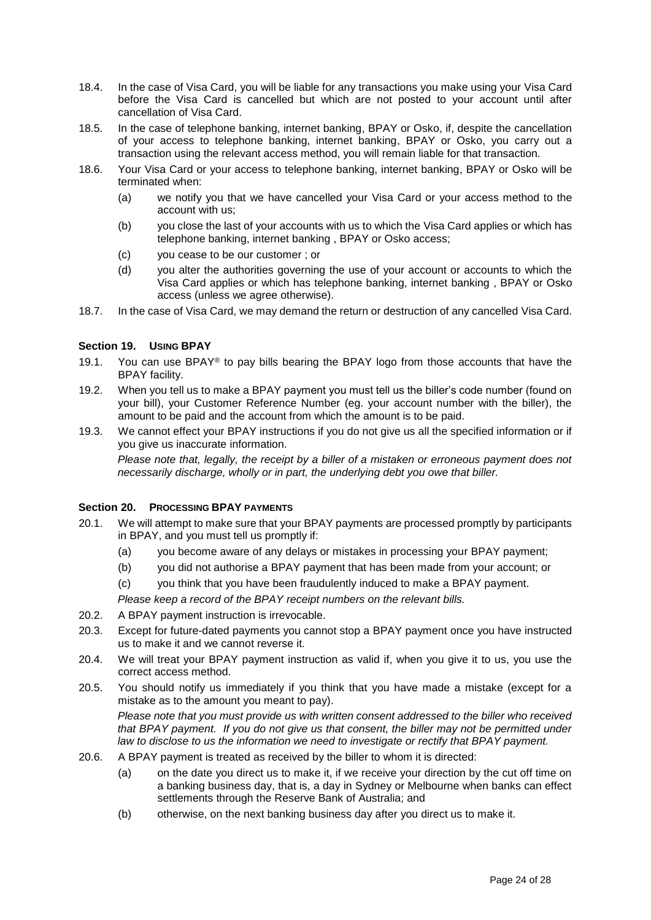- 18.4. In the case of Visa Card, you will be liable for any transactions you make using your Visa Card before the Visa Card is cancelled but which are not posted to your account until after cancellation of Visa Card.
- 18.5. In the case of telephone banking, internet banking, BPAY or Osko, if, despite the cancellation of your access to telephone banking, internet banking, BPAY or Osko, you carry out a transaction using the relevant access method, you will remain liable for that transaction.
- 18.6. Your Visa Card or your access to telephone banking, internet banking, BPAY or Osko will be terminated when:
	- (a) we notify you that we have cancelled your Visa Card or your access method to the account with us;
	- (b) you close the last of your accounts with us to which the Visa Card applies or which has telephone banking, internet banking , BPAY or Osko access;
	- (c) you cease to be our customer ; or
	- (d) you alter the authorities governing the use of your account or accounts to which the Visa Card applies or which has telephone banking, internet banking , BPAY or Osko access (unless we agree otherwise).
- 18.7. In the case of Visa Card, we may demand the return or destruction of any cancelled Visa Card.

## **Section 19. USING BPAY**

- 19.1. You can use BPAY<sup>®</sup> to pay bills bearing the BPAY logo from those accounts that have the BPAY facility.
- 19.2. When you tell us to make a BPAY payment you must tell us the biller's code number (found on your bill), your Customer Reference Number (eg. your account number with the biller), the amount to be paid and the account from which the amount is to be paid.
- 19.3. We cannot effect your BPAY instructions if you do not give us all the specified information or if you give us inaccurate information.

*Please note that, legally, the receipt by a biller of a mistaken or erroneous payment does not necessarily discharge, wholly or in part, the underlying debt you owe that biller.* 

## **Section 20. PROCESSING BPAY PAYMENTS**

- 20.1. We will attempt to make sure that your BPAY payments are processed promptly by participants in BPAY, and you must tell us promptly if:
	- (a) you become aware of any delays or mistakes in processing your BPAY payment;
	- (b) you did not authorise a BPAY payment that has been made from your account; or
	- (c) you think that you have been fraudulently induced to make a BPAY payment.

*Please keep a record of the BPAY receipt numbers on the relevant bills.*

- 20.2. A BPAY payment instruction is irrevocable.
- 20.3. Except for future-dated payments you cannot stop a BPAY payment once you have instructed us to make it and we cannot reverse it.
- 20.4. We will treat your BPAY payment instruction as valid if, when you give it to us, you use the correct access method.
- 20.5. You should notify us immediately if you think that you have made a mistake (except for a mistake as to the amount you meant to pay).

*Please note that you must provide us with written consent addressed to the biller who received that BPAY payment. If you do not give us that consent, the biller may not be permitted under law to disclose to us the information we need to investigate or rectify that BPAY payment.*

- 20.6. A BPAY payment is treated as received by the biller to whom it is directed:
	- (a) on the date you direct us to make it, if we receive your direction by the cut off time on a banking business day, that is, a day in Sydney or Melbourne when banks can effect settlements through the Reserve Bank of Australia; and
	- (b) otherwise, on the next banking business day after you direct us to make it.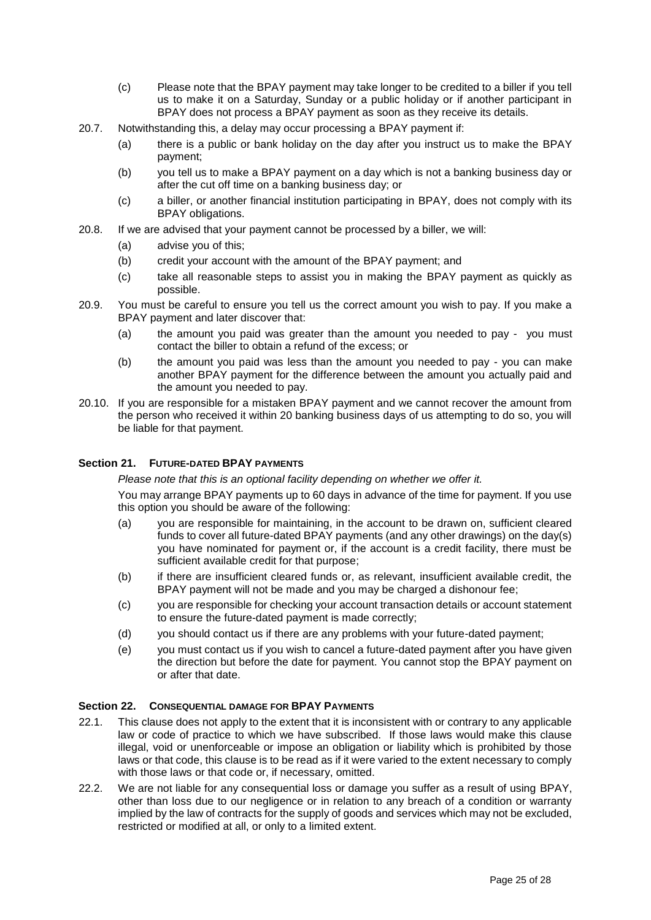- (c) Please note that the BPAY payment may take longer to be credited to a biller if you tell us to make it on a Saturday, Sunday or a public holiday or if another participant in BPAY does not process a BPAY payment as soon as they receive its details.
- 20.7. Notwithstanding this, a delay may occur processing a BPAY payment if:
	- (a) there is a public or bank holiday on the day after you instruct us to make the BPAY payment;
	- (b) you tell us to make a BPAY payment on a day which is not a banking business day or after the cut off time on a banking business day; or
	- (c) a biller, or another financial institution participating in BPAY, does not comply with its BPAY obligations.
- 20.8. If we are advised that your payment cannot be processed by a biller, we will:
	- (a) advise you of this;
	- (b) credit your account with the amount of the BPAY payment; and
	- (c) take all reasonable steps to assist you in making the BPAY payment as quickly as possible.
- 20.9. You must be careful to ensure you tell us the correct amount you wish to pay. If you make a BPAY payment and later discover that:
	- (a) the amount you paid was greater than the amount you needed to pay you must contact the biller to obtain a refund of the excess; or
	- (b) the amount you paid was less than the amount you needed to pay you can make another BPAY payment for the difference between the amount you actually paid and the amount you needed to pay.
- 20.10. If you are responsible for a mistaken BPAY payment and we cannot recover the amount from the person who received it within 20 banking business days of us attempting to do so, you will be liable for that payment.

## **Section 21. FUTURE-DATED BPAY PAYMENTS**

*Please note that this is an optional facility depending on whether we offer it.*

You may arrange BPAY payments up to 60 days in advance of the time for payment. If you use this option you should be aware of the following:

- (a) you are responsible for maintaining, in the account to be drawn on, sufficient cleared funds to cover all future-dated BPAY payments (and any other drawings) on the day(s) you have nominated for payment or, if the account is a credit facility, there must be sufficient available credit for that purpose;
- (b) if there are insufficient cleared funds or, as relevant, insufficient available credit, the BPAY payment will not be made and you may be charged a dishonour fee;
- (c) you are responsible for checking your account transaction details or account statement to ensure the future-dated payment is made correctly;
- (d) you should contact us if there are any problems with your future-dated payment;
- (e) you must contact us if you wish to cancel a future-dated payment after you have given the direction but before the date for payment. You cannot stop the BPAY payment on or after that date.

## **Section 22. CONSEQUENTIAL DAMAGE FOR BPAY PAYMENTS**

- 22.1. This clause does not apply to the extent that it is inconsistent with or contrary to any applicable law or code of practice to which we have subscribed. If those laws would make this clause illegal, void or unenforceable or impose an obligation or liability which is prohibited by those laws or that code, this clause is to be read as if it were varied to the extent necessary to comply with those laws or that code or, if necessary, omitted.
- 22.2. We are not liable for any consequential loss or damage you suffer as a result of using BPAY, other than loss due to our negligence or in relation to any breach of a condition or warranty implied by the law of contracts for the supply of goods and services which may not be excluded, restricted or modified at all, or only to a limited extent.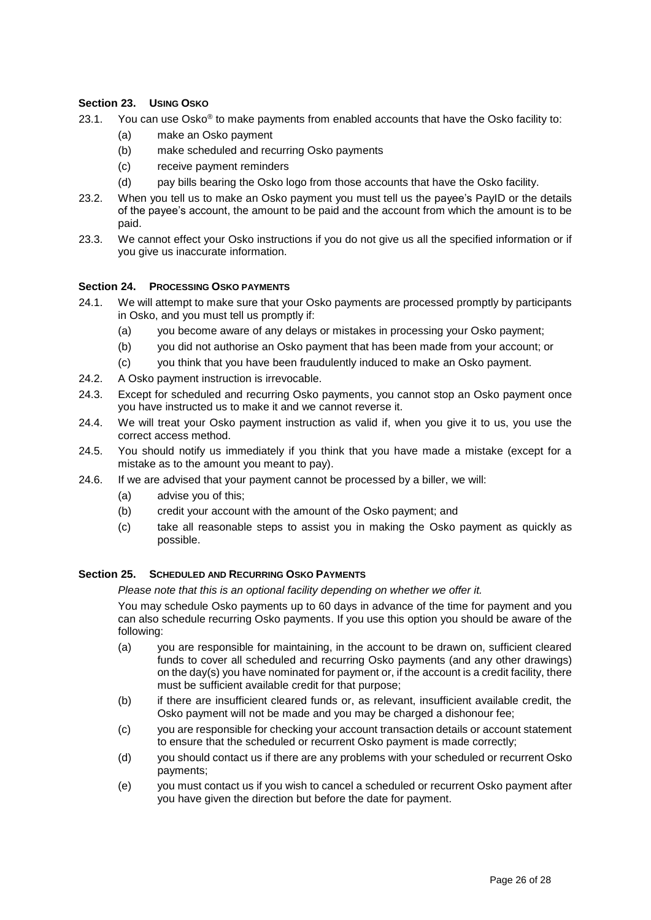# **Section 23. USING OSKO**

- 23.1. You can use Osko<sup>®</sup> to make payments from enabled accounts that have the Osko facility to:
	- (a) make an Osko payment
	- (b) make scheduled and recurring Osko payments
	- (c) receive payment reminders
	- (d) pay bills bearing the Osko logo from those accounts that have the Osko facility.
- 23.2. When you tell us to make an Osko payment you must tell us the payee's PayID or the details of the payee's account, the amount to be paid and the account from which the amount is to be paid.
- 23.3. We cannot effect your Osko instructions if you do not give us all the specified information or if you give us inaccurate information.

## **Section 24. PROCESSING OSKO PAYMENTS**

- 24.1. We will attempt to make sure that your Osko payments are processed promptly by participants in Osko, and you must tell us promptly if:
	- (a) you become aware of any delays or mistakes in processing your Osko payment;
	- (b) you did not authorise an Osko payment that has been made from your account; or
	- (c) you think that you have been fraudulently induced to make an Osko payment.
- 24.2. A Osko payment instruction is irrevocable.
- 24.3. Except for scheduled and recurring Osko payments, you cannot stop an Osko payment once you have instructed us to make it and we cannot reverse it.
- 24.4. We will treat your Osko payment instruction as valid if, when you give it to us, you use the correct access method.
- 24.5. You should notify us immediately if you think that you have made a mistake (except for a mistake as to the amount you meant to pay).
- 24.6. If we are advised that your payment cannot be processed by a biller, we will:
	- (a) advise you of this;
	- (b) credit your account with the amount of the Osko payment; and
	- (c) take all reasonable steps to assist you in making the Osko payment as quickly as possible.

## **Section 25. SCHEDULED AND RECURRING OSKO PAYMENTS**

*Please note that this is an optional facility depending on whether we offer it.*

You may schedule Osko payments up to 60 days in advance of the time for payment and you can also schedule recurring Osko payments. If you use this option you should be aware of the following:

- (a) you are responsible for maintaining, in the account to be drawn on, sufficient cleared funds to cover all scheduled and recurring Osko payments (and any other drawings) on the day(s) you have nominated for payment or, if the account is a credit facility, there must be sufficient available credit for that purpose;
- (b) if there are insufficient cleared funds or, as relevant, insufficient available credit, the Osko payment will not be made and you may be charged a dishonour fee;
- (c) you are responsible for checking your account transaction details or account statement to ensure that the scheduled or recurrent Osko payment is made correctly;
- (d) you should contact us if there are any problems with your scheduled or recurrent Osko payments;
- (e) you must contact us if you wish to cancel a scheduled or recurrent Osko payment after you have given the direction but before the date for payment.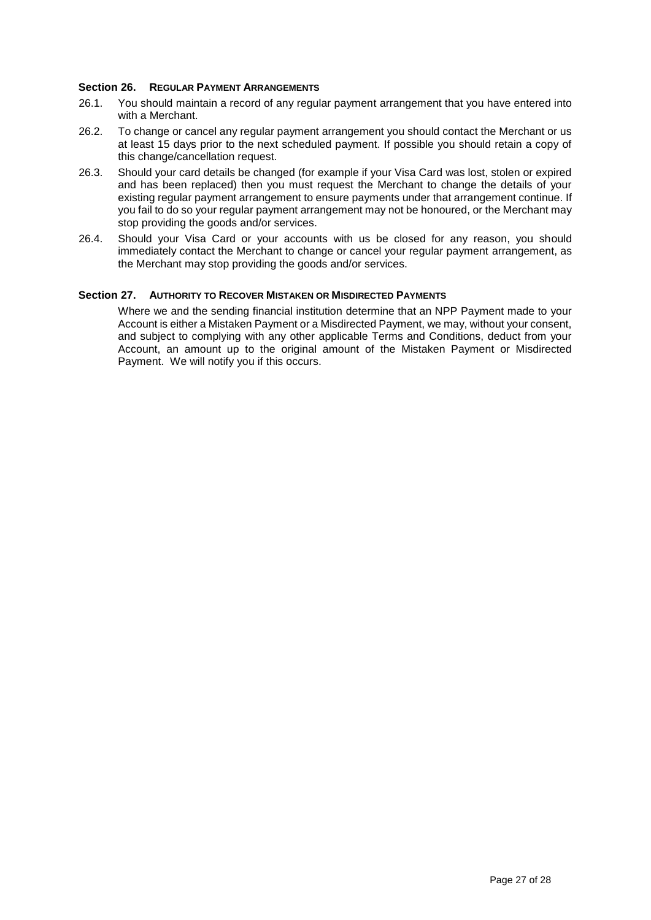## **Section 26. REGULAR PAYMENT ARRANGEMENTS**

- 26.1. You should maintain a record of any regular payment arrangement that you have entered into with a Merchant.
- 26.2. To change or cancel any regular payment arrangement you should contact the Merchant or us at least 15 days prior to the next scheduled payment. If possible you should retain a copy of this change/cancellation request.
- 26.3. Should your card details be changed (for example if your Visa Card was lost, stolen or expired and has been replaced) then you must request the Merchant to change the details of your existing regular payment arrangement to ensure payments under that arrangement continue. If you fail to do so your regular payment arrangement may not be honoured, or the Merchant may stop providing the goods and/or services.
- 26.4. Should your Visa Card or your accounts with us be closed for any reason, you should immediately contact the Merchant to change or cancel your regular payment arrangement, as the Merchant may stop providing the goods and/or services.

## **Section 27. AUTHORITY TO RECOVER MISTAKEN OR MISDIRECTED PAYMENTS**

Where we and the sending financial institution determine that an NPP Payment made to your Account is either a Mistaken Payment or a Misdirected Payment, we may, without your consent, and subject to complying with any other applicable Terms and Conditions, deduct from your Account, an amount up to the original amount of the Mistaken Payment or Misdirected Payment. We will notify you if this occurs.